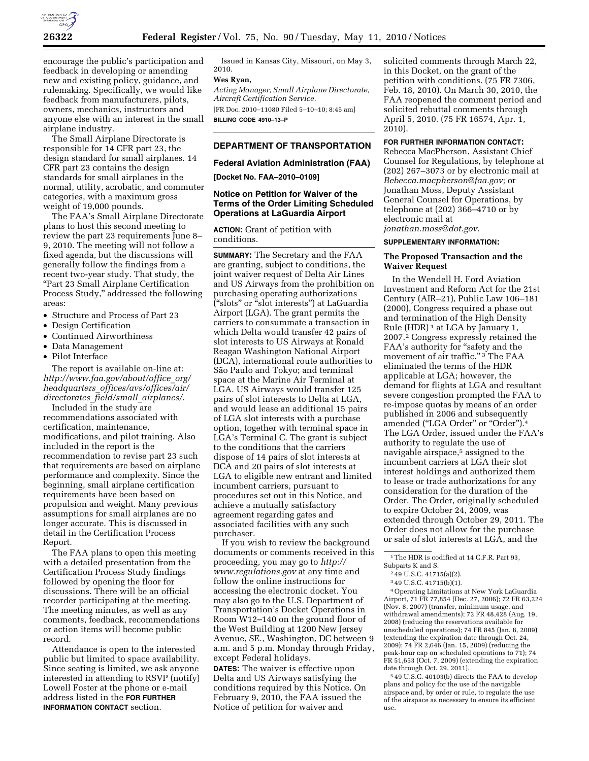

encourage the public's participation and feedback in developing or amending new and existing policy, guidance, and rulemaking. Specifically, we would like feedback from manufacturers, pilots, owners, mechanics, instructors and anyone else with an interest in the small airplane industry.

The Small Airplane Directorate is responsible for 14 CFR part 23, the design standard for small airplanes. 14 CFR part 23 contains the design standards for small airplanes in the normal, utility, acrobatic, and commuter categories, with a maximum gross weight of 19,000 pounds.

The FAA's Small Airplane Directorate plans to host this second meeting to review the part 23 requirements June 8– 9, 2010. The meeting will not follow a fixed agenda, but the discussions will generally follow the findings from a recent two-year study. That study, the ''Part 23 Small Airplane Certification Process Study,'' addressed the following areas:

- Structure and Process of Part 23
- Design Certification
- Continued Airworthiness
- Data Management
- Pilot Interface

The report is available on-line at: *http://www.faa.gov/about/office*\_*org/ headquarters*\_*offices/avs/offices/air/ directorates*\_*field/small*\_*airplanes/*.

Included in the study are recommendations associated with certification, maintenance, modifications, and pilot training. Also included in the report is the recommendation to revise part 23 such that requirements are based on airplane performance and complexity. Since the beginning, small airplane certification requirements have been based on propulsion and weight. Many previous assumptions for small airplanes are no longer accurate. This is discussed in detail in the Certification Process Report.

The FAA plans to open this meeting with a detailed presentation from the Certification Process Study findings followed by opening the floor for discussions. There will be an official recorder participating at the meeting. The meeting minutes, as well as any comments, feedback, recommendations or action items will become public record.

Attendance is open to the interested public but limited to space availability. Since seating is limited, we ask anyone interested in attending to RSVP (notify) Lowell Foster at the phone or e-mail address listed in the **FOR FURTHER INFORMATION CONTACT** section.

Issued in Kansas City, Missouri, on May 3, 2010.

# **Wes Ryan,**

*Acting Manager, Small Airplane Directorate, Aircraft Certification Service.* 

[FR Doc. 2010–11080 Filed 5–10–10; 8:45 am] **BILLING CODE 4910–13–P** 

#### **DEPARTMENT OF TRANSPORTATION**

#### **Federal Aviation Administration (FAA)**

**[Docket No. FAA–2010–0109]** 

### **Notice on Petition for Waiver of the Terms of the Order Limiting Scheduled Operations at LaGuardia Airport**

**ACTION:** Grant of petition with conditions.

**SUMMARY:** The Secretary and the FAA are granting, subject to conditions, the joint waiver request of Delta Air Lines and US Airways from the prohibition on purchasing operating authorizations (''slots'' or ''slot interests'') at LaGuardia Airport (LGA). The grant permits the carriers to consummate a transaction in which Delta would transfer 42 pairs of slot interests to US Airways at Ronald Reagan Washington National Airport (DCA), international route authorities to São Paulo and Tokyo; and terminal space at the Marine Air Terminal at LGA. US Airways would transfer 125 pairs of slot interests to Delta at LGA, and would lease an additional 15 pairs of LGA slot interests with a purchase option, together with terminal space in LGA's Terminal C. The grant is subject to the conditions that the carriers dispose of 14 pairs of slot interests at DCA and 20 pairs of slot interests at LGA to eligible new entrant and limited incumbent carriers, pursuant to procedures set out in this Notice, and achieve a mutually satisfactory agreement regarding gates and associated facilities with any such purchaser.

If you wish to review the background documents or comments received in this proceeding, you may go to *http:// www.regulations.gov* at any time and follow the online instructions for accessing the electronic docket. You may also go to the U.S. Department of Transportation's Docket Operations in Room W12–140 on the ground floor of the West Building at 1200 New Jersey Avenue, SE., Washington, DC between 9 a.m. and 5 p.m. Monday through Friday, except Federal holidays.

**DATES:** The waiver is effective upon Delta and US Airways satisfying the conditions required by this Notice. On February 9, 2010, the FAA issued the Notice of petition for waiver and

solicited comments through March 22, in this Docket, on the grant of the petition with conditions. (75 FR 7306, Feb. 18, 2010). On March 30, 2010, the FAA reopened the comment period and solicited rebuttal comments through April 5, 2010. (75 FR 16574, Apr. 1, 2010).

## **FOR FURTHER INFORMATION CONTACT:**

Rebecca MacPherson, Assistant Chief Counsel for Regulations, by telephone at (202) 267–3073 or by electronic mail at *Rebecca.macpherson@faa.gov;* or Jonathan Moss, Deputy Assistant General Counsel for Operations, by telephone at (202) 366–4710 or by electronic mail at *jonathan.moss@dot.gov.* 

#### **SUPPLEMENTARY INFORMATION:**

## **The Proposed Transaction and the Waiver Request**

In the Wendell H. Ford Aviation Investment and Reform Act for the 21st Century (AIR–21), Public Law 106–181 (2000), Congress required a phase out and termination of the High Density Rule (HDR) 1 at LGA by January 1, 2007.2 Congress expressly retained the FAA's authority for "safety and the movement of air traffic." <sup>3</sup> The FAA eliminated the terms of the HDR applicable at LGA; however, the demand for flights at LGA and resultant severe congestion prompted the FAA to re-impose quotas by means of an order published in 2006 and subsequently amended ("LGA Order" or "Order").<sup>4</sup> The LGA Order, issued under the FAA's authority to regulate the use of navigable airspace,5 assigned to the incumbent carriers at LGA their slot interest holdings and authorized them to lease or trade authorizations for any consideration for the duration of the Order. The Order, originally scheduled to expire October 24, 2009, was extended through October 29, 2011. The Order does not allow for the purchase or sale of slot interests at LGA, and the

4Operating Limitations at New York LaGuardia Airport, 71 FR 77,854 (Dec. 27, 2006); 72 FR 63,224 (Nov. 8, 2007) (transfer, minimum usage, and withdrawal amendments); 72 FR 48,428 (Aug. 19, 2008) (reducing the reservations available for unscheduled operations); 74 FR 845 (Jan. 8, 2009) (extending the expiration date through Oct. 24, 2009); 74 FR 2,646 (Jan. 15, 2009) (reducing the peak-hour cap on scheduled operations to 71); 74 FR 51,653 (Oct. 7, 2009) (extending the expiration date through Oct. 29, 2011).

5 49 U.S.C. 40103(b) directs the FAA to develop plans and policy for the use of the navigable airspace and, by order or rule, to regulate the use of the airspace as necessary to ensure its efficient use.

<sup>&</sup>lt;sup>1</sup>The HDR is codified at 14 C.F.R. Part 93,

Subparts K and S.

<sup>2</sup> 49 U.S.C. 41715(a)(2).

<sup>3</sup> 49 U.S.C. 41715(b)(1).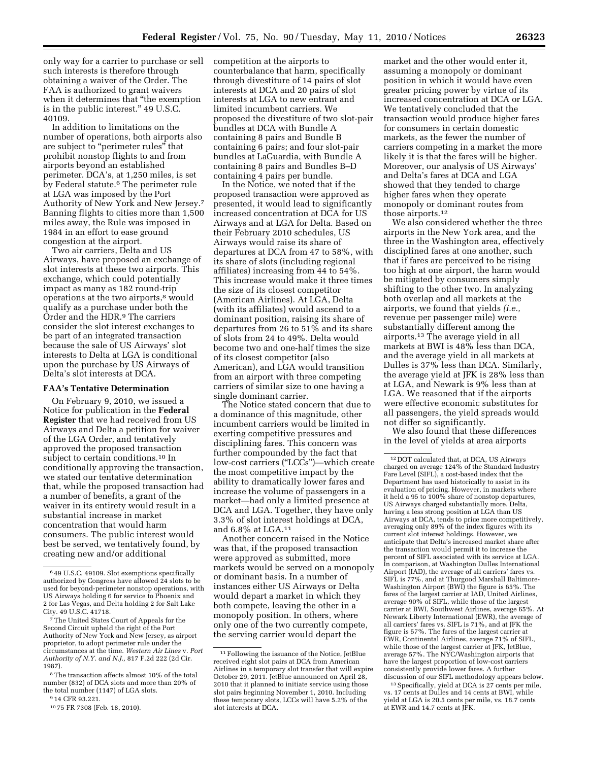only way for a carrier to purchase or sell such interests is therefore through obtaining a waiver of the Order. The FAA is authorized to grant waivers when it determines that ''the exemption is in the public interest.'' 49 U.S.C. 40109.

In addition to limitations on the number of operations, both airports also are subject to "perimeter rules" that prohibit nonstop flights to and from airports beyond an established perimeter. DCA's, at 1,250 miles, is set by Federal statute.6 The perimeter rule at LGA was imposed by the Port Authority of New York and New Jersey.7 Banning flights to cities more than 1,500 miles away, the Rule was imposed in 1984 in an effort to ease ground congestion at the airport.

Two air carriers, Delta and US Airways, have proposed an exchange of slot interests at these two airports. This exchange, which could potentially impact as many as 182 round-trip operations at the two airports,<sup>8</sup> would qualify as a purchase under both the Order and the HDR.9 The carriers consider the slot interest exchanges to be part of an integrated transaction because the sale of US Airways' slot interests to Delta at LGA is conditional upon the purchase by US Airways of Delta's slot interests at DCA.

#### **FAA's Tentative Determination**

On February 9, 2010, we issued a Notice for publication in the **Federal Register** that we had received from US Airways and Delta a petition for waiver of the LGA Order, and tentatively approved the proposed transaction subject to certain conditions.10 In conditionally approving the transaction, we stated our tentative determination that, while the proposed transaction had a number of benefits, a grant of the waiver in its entirety would result in a substantial increase in market concentration that would harm consumers. The public interest would best be served, we tentatively found, by creating new and/or additional

competition at the airports to counterbalance that harm, specifically through divestiture of 14 pairs of slot interests at DCA and 20 pairs of slot interests at LGA to new entrant and limited incumbent carriers. We proposed the divestiture of two slot-pair bundles at DCA with Bundle A containing 8 pairs and Bundle B containing 6 pairs; and four slot-pair bundles at LaGuardia, with Bundle A containing 8 pairs and Bundles B–D containing 4 pairs per bundle.

In the Notice, we noted that if the proposed transaction were approved as presented, it would lead to significantly increased concentration at DCA for US Airways and at LGA for Delta. Based on their February 2010 schedules, US Airways would raise its share of departures at DCA from 47 to 58%, with its share of slots (including regional affiliates) increasing from 44 to 54%. This increase would make it three times the size of its closest competitor (American Airlines). At LGA, Delta (with its affiliates) would ascend to a dominant position, raising its share of departures from 26 to 51% and its share of slots from 24 to 49%. Delta would become two and one-half times the size of its closest competitor (also American), and LGA would transition from an airport with three competing carriers of similar size to one having a single dominant carrier.

The Notice stated concern that due to a dominance of this magnitude, other incumbent carriers would be limited in exerting competitive pressures and disciplining fares. This concern was further compounded by the fact that low-cost carriers (''LCCs'')—which create the most competitive impact by the ability to dramatically lower fares and increase the volume of passengers in a market—had only a limited presence at DCA and LGA. Together, they have only 3.3% of slot interest holdings at DCA, and 6.8% at LGA.11

Another concern raised in the Notice was that, if the proposed transaction were approved as submitted, more markets would be served on a monopoly or dominant basis. In a number of instances either US Airways or Delta would depart a market in which they both compete, leaving the other in a monopoly position. In others, where only one of the two currently compete, the serving carrier would depart the

market and the other would enter it, assuming a monopoly or dominant position in which it would have even greater pricing power by virtue of its increased concentration at DCA or LGA. We tentatively concluded that the transaction would produce higher fares for consumers in certain domestic markets, as the fewer the number of carriers competing in a market the more likely it is that the fares will be higher. Moreover, our analysis of US Airways' and Delta's fares at DCA and LGA showed that they tended to charge higher fares when they operate monopoly or dominant routes from those airports.12

We also considered whether the three airports in the New York area, and the three in the Washington area, effectively disciplined fares at one another, such that if fares are perceived to be rising too high at one airport, the harm would be mitigated by consumers simply shifting to the other two. In analyzing both overlap and all markets at the airports, we found that yields *(i.e.,*  revenue per passenger mile) were substantially different among the airports.13 The average yield in all markets at BWI is 48% less than DCA, and the average yield in all markets at Dulles is 37% less than DCA. Similarly, the average yield at JFK is 28% less than at LGA, and Newark is 9% less than at LGA. We reasoned that if the airports were effective economic substitutes for all passengers, the yield spreads would not differ so significantly.

We also found that these differences in the level of yields at area airports

12 DOT calculated that, at DCA, US Airways charged on average 124% of the Standard Industry Fare Level (SIFL), a cost-based index that the Department has used historically to assist in its evaluation of pricing. However, in markets where it held a 95 to 100% share of nonstop departures, US Airways charged substantially more. Delta, having a less strong position at LGA than US Airways at DCA, tends to price more competitively, averaging only 89% of the index figures with its current slot interest holdings. However, we anticipate that Delta's increased market share after the transaction would permit it to increase the percent of SIFL associated with its service at LGA. In comparison, at Washington Dulles International Airport (IAD), the average of all carriers' fares vs. SIFL is 77%, and at Thurgood Marshall Baltimore-Washington Airport (BWI) the figure is 65%. The fares of the largest carrier at IAD, United Airlines, average 90% of SIFL, while those of the largest carrier at BWI, Southwest Airlines, average 65%. At Newark Liberty International (EWR), the average of all carriers' fares vs. SIFL is 71%, and at JFK the figure is 57%. The fares of the largest carrier at EWR, Continental Airlines, average 71% of SIFL, while those of the largest carrier at JFK, JetBlue, average 57%. The NYC/Washington airports that have the largest proportion of low-cost carriers consistently provide lower fares. A further<br>discussion of our SIFL methodology appears below.

 $13$  Specifically, yield at DCA is  $27$  cents per mile, vs. 17 cents at Dulles and 14 cents at BWI, while yield at LGA is 20.5 cents per mile, vs. 18.7 cents at EWR and 14.7 cents at JFK.

<sup>6</sup> 49 U.S.C. 49109. Slot exemptions specifically authorized by Congress have allowed 24 slots to be used for beyond-perimeter nonstop operations, with US Airways holding 6 for service to Phoenix and 2 for Las Vegas, and Delta holding 2 for Salt Lake City. 49 U.S.C. 41718.

<sup>7</sup>The United States Court of Appeals for the Second Circuit upheld the right of the Port Authority of New York and New Jersey, as airport proprietor, to adopt perimeter rule under the circumstances at the time. *Western Air Lines* v. *Port Authority of N.Y. and N.J.,* 817 F.2d 222 (2d Cir. 1987).

<sup>8</sup>The transaction affects almost 10% of the total number (832) of DCA slots and more than 20% of the total number (1147) of LGA slots.

<sup>9</sup> 14 CFR 93.221.

<sup>10</sup> 75 FR 7308 (Feb. 18, 2010).

<sup>11</sup>Following the issuance of the Notice, JetBlue received eight slot pairs at DCA from American Airlines in a temporary slot transfer that will expire October 29, 2011. JetBlue announced on April 28, 2010 that it planned to initiate service using those slot pairs beginning November 1, 2010. Including these temporary slots, LCCs will have 5.2% of the slot interests at DCA.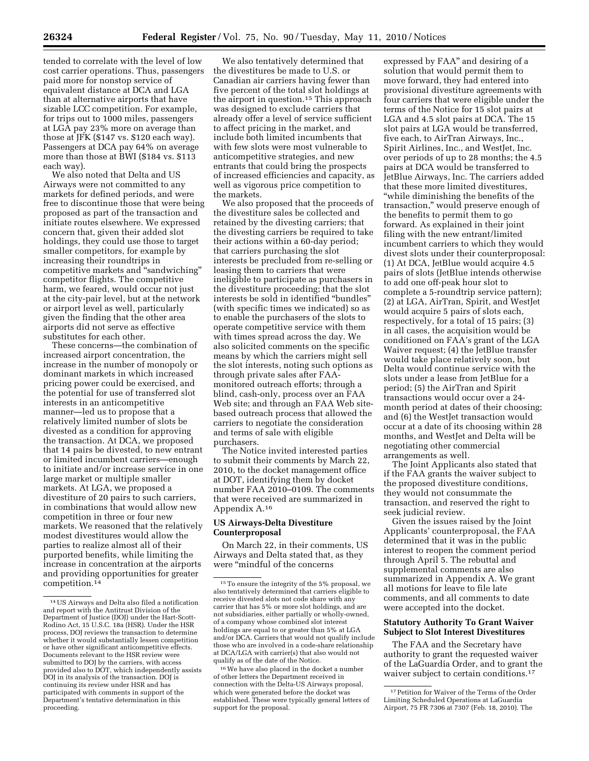tended to correlate with the level of low cost carrier operations. Thus, passengers paid more for nonstop service of equivalent distance at DCA and LGA than at alternative airports that have sizable LCC competition. For example, for trips out to 1000 miles, passengers at LGA pay 23% more on average than those at JFK (\$147 vs. \$120 each way). Passengers at DCA pay 64% on average more than those at BWI (\$184 vs. \$113 each way).

We also noted that Delta and US Airways were not committed to any markets for defined periods, and were free to discontinue those that were being proposed as part of the transaction and initiate routes elsewhere. We expressed concern that, given their added slot holdings, they could use those to target smaller competitors, for example by increasing their roundtrips in competitive markets and ''sandwiching'' competitor flights. The competitive harm, we feared, would occur not just at the city-pair level, but at the network or airport level as well, particularly given the finding that the other area airports did not serve as effective substitutes for each other.

These concerns—the combination of increased airport concentration, the increase in the number of monopoly or dominant markets in which increased pricing power could be exercised, and the potential for use of transferred slot interests in an anticompetitive manner—led us to propose that a relatively limited number of slots be divested as a condition for approving the transaction. At DCA, we proposed that 14 pairs be divested, to new entrant or limited incumbent carriers—enough to initiate and/or increase service in one large market or multiple smaller markets. At LGA, we proposed a divestiture of 20 pairs to such carriers, in combinations that would allow new competition in three or four new markets. We reasoned that the relatively modest divestitures would allow the parties to realize almost all of their purported benefits, while limiting the increase in concentration at the airports and providing opportunities for greater competition.14

We also tentatively determined that the divestitures be made to U.S. or Canadian air carriers having fewer than five percent of the total slot holdings at the airport in question.15 This approach was designed to exclude carriers that already offer a level of service sufficient to affect pricing in the market, and include both limited incumbents that with few slots were most vulnerable to anticompetitive strategies, and new entrants that could bring the prospects of increased efficiencies and capacity, as well as vigorous price competition to the markets.

We also proposed that the proceeds of the divestiture sales be collected and retained by the divesting carriers; that the divesting carriers be required to take their actions within a 60-day period; that carriers purchasing the slot interests be precluded from re-selling or leasing them to carriers that were ineligible to participate as purchasers in the divestiture proceeding; that the slot interests be sold in identified ''bundles'' (with specific times we indicated) so as to enable the purchasers of the slots to operate competitive service with them with times spread across the day. We also solicited comments on the specific means by which the carriers might sell the slot interests, noting such options as through private sales after FAAmonitored outreach efforts; through a blind, cash-only, process over an FAA Web site; and through an FAA Web sitebased outreach process that allowed the carriers to negotiate the consideration and terms of sale with eligible purchasers.

The Notice invited interested parties to submit their comments by March 22, 2010, to the docket management office at DOT, identifying them by docket number FAA 2010–0109. The comments that were received are summarized in Appendix A.16

## **US Airways-Delta Divestiture Counterproposal**

On March 22, in their comments, US Airways and Delta stated that, as they were ''mindful of the concerns

expressed by FAA'' and desiring of a solution that would permit them to move forward, they had entered into provisional divestiture agreements with four carriers that were eligible under the terms of the Notice for 15 slot pairs at LGA and 4.5 slot pairs at DCA. The 15 slot pairs at LGA would be transferred, five each, to AirTran Airways, Inc., Spirit Airlines, Inc., and WestJet, Inc. over periods of up to 28 months; the 4.5 pairs at DCA would be transferred to JetBlue Airways, Inc. The carriers added that these more limited divestitures, ''while diminishing the benefits of the transaction,'' would preserve enough of the benefits to permit them to go forward. As explained in their joint filing with the new entrant/limited incumbent carriers to which they would divest slots under their counterproposal: (1) At DCA, JetBlue would acquire 4.5 pairs of slots (JetBlue intends otherwise to add one off-peak hour slot to complete a 5-roundtrip service pattern); (2) at LGA, AirTran, Spirit, and WestJet would acquire 5 pairs of slots each, respectively, for a total of 15 pairs; (3) in all cases, the acquisition would be conditioned on FAA's grant of the LGA Waiver request; (4) the JetBlue transfer would take place relatively soon, but Delta would continue service with the slots under a lease from JetBlue for a period; (5) the AirTran and Spirit transactions would occur over a 24 month period at dates of their choosing; and (6) the WestJet transaction would occur at a date of its choosing within 28 months, and WestJet and Delta will be negotiating other commercial arrangements as well.

The Joint Applicants also stated that if the FAA grants the waiver subject to the proposed divestiture conditions, they would not consummate the transaction, and reserved the right to seek judicial review.

Given the issues raised by the Joint Applicants' counterproposal, the FAA determined that it was in the public interest to reopen the comment period through April 5. The rebuttal and supplemental comments are also summarized in Appendix A. We grant all motions for leave to file late comments, and all comments to date were accepted into the docket.

## **Statutory Authority To Grant Waiver Subject to Slot Interest Divestitures**

The FAA and the Secretary have authority to grant the requested waiver of the LaGuardia Order, and to grant the waiver subject to certain conditions.<sup>17</sup>

<sup>14</sup>US Airways and Delta also filed a notification and report with the Antitrust Division of the Department of Justice (DOJ) under the Hart-Scott-Rodino Act, 15 U.S.C. 18a (HSR). Under the HSR process, DOJ reviews the transaction to determine whether it would substantially lessen competition or have other significant anticompetitive effects. Documents relevant to the HSR review were submitted to DOJ by the carriers, with access provided also to  $\widetilde{\mathrm{DOT}}$ , which independently assists DOJ in its analysis of the transaction. DOJ is continuing its review under HSR and has participated with comments in support of the Department's tentative determination in this proceeding.

<sup>15</sup>To ensure the integrity of the 5% proposal, we also tentatively determined that carriers eligible to receive divested slots not code share with any carrier that has 5% or more slot holdings, and are not subsidiaries, either partially or wholly-owned, of a company whose combined slot interest holdings are equal to or greater than 5% at LGA and/or DCA. Carriers that would not qualify include those who are involved in a code-share relationship at DCA/LGA with carrier(s) that also would not qualify as of the date of the Notice.

<sup>16</sup>We have also placed in the docket a number of other letters the Department received in connection with the Delta-US Airways proposal, which were generated before the docket was established. These were typically general letters of support for the proposal.

<sup>&</sup>lt;sup>17</sup> Petition for Waiver of the Terms of the Order Limiting Scheduled Operations at LaGuardia Airport, 75 FR 7306 at 7307 (Feb. 18, 2010). The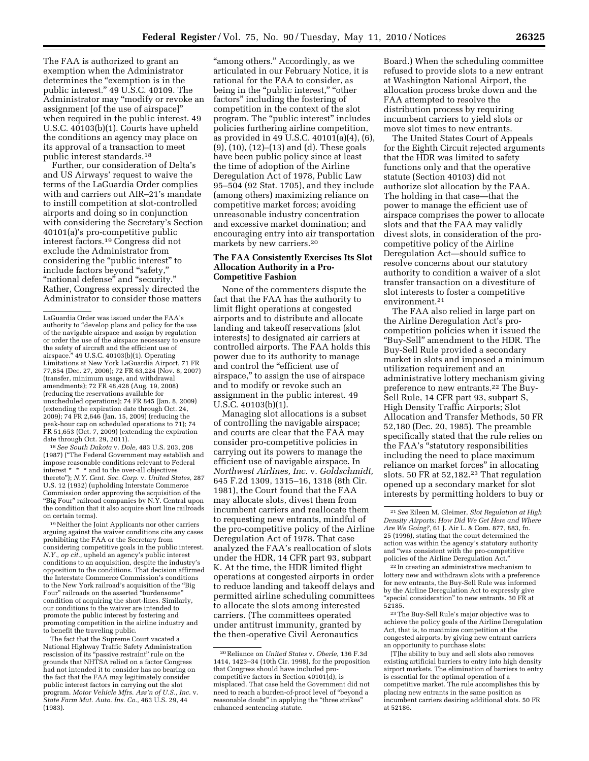The FAA is authorized to grant an exemption when the Administrator determines the "exemption is in the public interest.'' 49 U.S.C. 40109. The Administrator may ''modify or revoke an assignment [of the use of airspace]'' when required in the public interest. 49 U.S.C. 40103(b)(1). Courts have upheld the conditions an agency may place on its approval of a transaction to meet public interest standards.18

Further, our consideration of Delta's and US Airways' request to waive the terms of the LaGuardia Order complies with and carriers out AIR–21's mandate to instill competition at slot-controlled airports and doing so in conjunction with considering the Secretary's Section 40101(a)'s pro-competitive public interest factors.19 Congress did not exclude the Administrator from considering the ''public interest'' to include factors beyond "safety," ''national defense'' and ''security.'' Rather, Congress expressly directed the Administrator to consider those matters

18*See South Dakota* v. *Dole,* 483 U.S. 203, 208 (1987) (''The Federal Government may establish and impose reasonable conditions relevant to Federal interest \* \* \* and to the over-all objectives thereto''); *N.Y. Cent. Sec. Corp.* v. *United States,* 287 U.S. 12 (1932) (upholding Interstate Commerce Commission order approving the acquisition of the<br>"Big Four" railroad companies by N.Y. Central upon the condition that it also acquire short line railroads on certain terms).

19Neither the Joint Applicants nor other carriers arguing against the waiver conditions cite any cases prohibiting the FAA or the Secretary from considering competitive goals in the public interest. *N.Y., op cit.,* upheld an agency's public interest conditions to an acquisition, despite the industry's opposition to the conditions. That decision affirmed the Interstate Commerce Commission's conditions to the New York railroad's acquisition of the "Big Four'' railroads on the asserted ''burdensome'' condition of acquiring the short-lines. Similarly, our conditions to the waiver are intended to promote the public interest by fostering and promoting competition in the airline industry and to benefit the traveling public.

The fact that the Supreme Court vacated a National Highway Traffic Safety Administration rescission of its "passive restraint" rule on the grounds that NHTSA relied on a factor Congress had not intended it to consider has no bearing on the fact that the FAA may legitimately consider public interest factors in carrying out the slot program. *Motor Vehicle Mfrs. Ass'n of U.S., Inc.* v. *State Farm Mut. Auto. Ins. Co.,* 463 U.S. 29, 44 (1983).

"among others." Accordingly, as we articulated in our February Notice, it is rational for the FAA to consider, as being in the "public interest," "other factors'' including the fostering of competition in the context of the slot program. The ''public interest'' includes policies furthering airline competition, as provided in 49 U.S.C. 40101(a)(4), (6), (9), (10), (12)–(13) and (d). These goals have been public policy since at least the time of adoption of the Airline Deregulation Act of 1978, Public Law 95–504 (92 Stat. 1705), and they include (among others) maximizing reliance on competitive market forces; avoiding unreasonable industry concentration and excessive market domination; and encouraging entry into air transportation markets by new carriers.20

## **The FAA Consistently Exercises Its Slot Allocation Authority in a Pro-Competitive Fashion**

None of the commenters dispute the fact that the FAA has the authority to limit flight operations at congested airports and to distribute and allocate landing and takeoff reservations (slot interests) to designated air carriers at controlled airports. The FAA holds this power due to its authority to manage and control the "efficient use of airspace,'' to assign the use of airspace and to modify or revoke such an assignment in the public interest. 49  $U.S.C. 40103(b)(1)$ 

Managing slot allocations is a subset of controlling the navigable airspace; and courts are clear that the FAA may consider pro-competitive policies in carrying out its powers to manage the efficient use of navigable airspace. In *Northwest Airlines, Inc.* v. *Goldschmidt,*  645 F.2d 1309, 1315–16, 1318 (8th Cir. 1981), the Court found that the FAA may allocate slots, divest them from incumbent carriers and reallocate them to requesting new entrants, mindful of the pro-competitive policy of the Airline Deregulation Act of 1978. That case analyzed the FAA's reallocation of slots under the HDR, 14 CFR part 93, subpart K. At the time, the HDR limited flight operations at congested airports in order to reduce landing and takeoff delays and permitted airline scheduling committees to allocate the slots among interested carriers. (The committees operated under antitrust immunity, granted by the then-operative Civil Aeronautics

Board.) When the scheduling committee refused to provide slots to a new entrant at Washington National Airport, the allocation process broke down and the FAA attempted to resolve the distribution process by requiring incumbent carriers to yield slots or move slot times to new entrants.

The United States Court of Appeals for the Eighth Circuit rejected arguments that the HDR was limited to safety functions only and that the operative statute (Section 40103) did not authorize slot allocation by the FAA. The holding in that case—that the power to manage the efficient use of airspace comprises the power to allocate slots and that the FAA may validly divest slots, in consideration of the procompetitive policy of the Airline Deregulation Act—should suffice to resolve concerns about our statutory authority to condition a waiver of a slot transfer transaction on a divestiture of slot interests to foster a competitive environment.21

The FAA also relied in large part on the Airline Deregulation Act's procompetition policies when it issued the ''Buy-Sell'' amendment to the HDR. The Buy-Sell Rule provided a secondary market in slots and imposed a minimum utilization requirement and an administrative lottery mechanism giving preference to new entrants.22 The Buy-Sell Rule, 14 CFR part 93, subpart S, High Density Traffic Airports; Slot Allocation and Transfer Methods, 50 FR 52,180 (Dec. 20, 1985). The preamble specifically stated that the rule relies on the FAA's ''statutory responsibilities including the need to place maximum reliance on market forces'' in allocating slots. 50 FR at 52,182.23 That regulation opened up a secondary market for slot interests by permitting holders to buy or

22 In creating an administrative mechanism to lottery new and withdrawn slots with a preference for new entrants, the Buy-Sell Rule was informed by the Airline Deregulation Act to expressly give "special consideration" to new entrants. 50 FR at 52185.

23The Buy-Sell Rule's major objective was to achieve the policy goals of the Airline Deregulation Act, that is, to maximize competition at the congested airports, by giving new entrant carriers an opportunity to purchase slots:

LaGuardia Order was issued under the FAA's authority to "develop plans and policy for the use of the navigable airspace and assign by regulation or order the use of the airspace necessary to ensure the safety of aircraft and the efficient use of airspace.'' 49 U.S.C. 40103(b)(1). Operating Limitations at New York LaGuardia Airport, 71 FR 77,854 (Dec. 27, 2006); 72 FR 63,224 (Nov. 8, 2007) (transfer, minimum usage, and withdrawal amendments); 72 FR 48,428 (Aug. 19, 2008) (reducing the reservations available for unscheduled operations); 74 FR 845 (Jan. 8, 2009) (extending the expiration date through Oct. 24, 2009); 74 FR 2,646 (Jan. 15, 2009) (reducing the peak-hour cap on scheduled operations to 71); 74 FR 51,653 (Oct. 7, 2009) (extending the expiration date through Oct. 29, 2011).

<sup>20</sup>Reliance on *United States* v. *Oberle,* 136 F.3d 1414, 1423–34 (10th Cir. 1998), for the proposition that Congress should have included procompetitive factors in Section 40101(d), is misplaced. That case held the Government did not need to reach a burden-of-proof level of ''beyond a reasonable doubt'' in applying the ''three strikes'' enhanced sentencing statute.

<sup>21</sup>*See* Eileen M. Gleimer, *Slot Regulation at High Density Airports: How Did We Get Here and Where Are We Going?,* 61 J. Air L. & Com. 877, 883, fn. 25 (1996), stating that the court determined the action was within the agency's statutory authority and ''was consistent with the pro-competitive policies of the Airline Deregulation Act.''

<sup>[</sup>T]he ability to buy and sell slots also removes existing artificial barriers to entry into high density airport markets. The elimination of barriers to entry is essential for the optimal operation of a competitive market. The rule accomplishes this by placing new entrants in the same position as incumbent carriers desiring additional slots. 50 FR at 52186.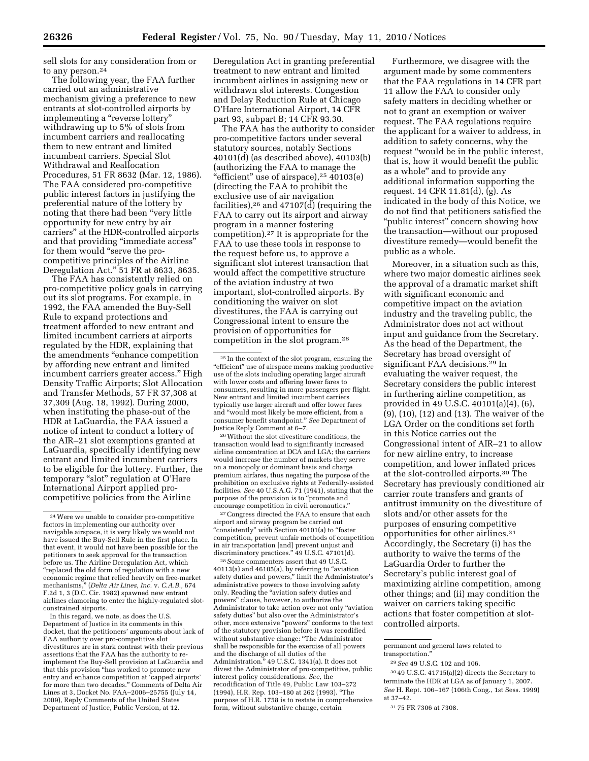sell slots for any consideration from or to any person.<sup>24</sup>

The following year, the FAA further carried out an administrative mechanism giving a preference to new entrants at slot-controlled airports by implementing a ''reverse lottery'' withdrawing up to 5% of slots from incumbent carriers and reallocating them to new entrant and limited incumbent carriers. Special Slot Withdrawal and Reallocation Procedures, 51 FR 8632 (Mar. 12, 1986). The FAA considered pro-competitive public interest factors in justifying the preferential nature of the lottery by noting that there had been ''very little opportunity for new entry by air carriers'' at the HDR-controlled airports and that providing ''immediate access'' for them would "serve the procompetitive principles of the Airline Deregulation Act.'' 51 FR at 8633, 8635.

The FAA has consistently relied on pro-competitive policy goals in carrying out its slot programs. For example, in 1992, the FAA amended the Buy-Sell Rule to expand protections and treatment afforded to new entrant and limited incumbent carriers at airports regulated by the HDR, explaining that the amendments ''enhance competition by affording new entrant and limited incumbent carriers greater access.'' High Density Traffic Airports; Slot Allocation and Transfer Methods, 57 FR 37,308 at 37,309 (Aug. 18, 1992). During 2000, when instituting the phase-out of the HDR at LaGuardia, the FAA issued a notice of intent to conduct a lottery of the AIR–21 slot exemptions granted at LaGuardia, specifically identifying new entrant and limited incumbent carriers to be eligible for the lottery. Further, the temporary ''slot'' regulation at O'Hare International Airport applied procompetitive policies from the Airline

In this regard, we note, as does the U.S. Department of Justice in its comments in this docket, that the petitioners' arguments about lack of FAA authority over pro-competitive slot divestitures are in stark contrast with their previous assertions that the FAA has the authority to reimplement the Buy-Sell provision at LaGuardia and that this provision ''has worked to promote new entry and enhance competition at 'capped airports' for more than two decades.'' Comments of Delta Air Lines at 3, Docket No. FAA–2006–25755 (July 14, 2009), Reply Comments of the United States Department of Justice, Public Version, at 12.

Deregulation Act in granting preferential treatment to new entrant and limited incumbent airlines in assigning new or withdrawn slot interests. Congestion and Delay Reduction Rule at Chicago O'Hare International Airport, 14 CFR part 93, subpart B; 14 CFR 93.30.

The FAA has the authority to consider pro-competitive factors under several statutory sources, notably Sections 40101(d) (as described above), 40103(b) (authorizing the FAA to manage the "efficient" use of airspace),<sup>25</sup> 40103(e) (directing the FAA to prohibit the exclusive use of air navigation facilities),<sup>26</sup> and  $47107(\overline{d})$  (requiring the FAA to carry out its airport and airway program in a manner fostering competition).27 It is appropriate for the FAA to use these tools in response to the request before us, to approve a significant slot interest transaction that would affect the competitive structure of the aviation industry at two important, slot-controlled airports. By conditioning the waiver on slot divestitures, the FAA is carrying out Congressional intent to ensure the provision of opportunities for competition in the slot program.28

26Without the slot divestiture conditions, the transaction would lead to significantly increased airline concentration at DCA and LGA; the carriers would increase the number of markets they serve on a monopoly or dominant basis and charge premium airfares, thus negating the purpose of the prohibition on exclusive rights at Federally-assisted facilities. *See* 40 U.S.A.G. 71 (1941), stating that the purpose of the provision is to ''promote and encourage competition in civil aeronautics.''

27Congress directed the FAA to ensure that each airport and airway program be carried out ''consistently'' with Section 40101(a) to ''foster competition, prevent unfair methods of competition in air transportation [and] prevent unjust and discriminatory practices.'' 49 U.S.C. 47101(d).

28Some commenters assert that 49 U.S.C. 40113(a) and 46105(a), by referring to ''aviation safety duties and powers,'' limit the Administrator's administrative powers to those involving safety only. Reading the ''aviation safety duties and powers'' clause, however, to authorize the Administrator to take action over not only ''aviation safety duties'' but also over the Administrator's other, more extensive "powers" conforms to the text of the statutory provision before it was recodified without substantive change: ''The Administrator shall be responsible for the exercise of all powers and the discharge of all duties of the Administration.'' 49 U.S.C. 1341(a). It does not divest the Administrator of pro-competitive, public interest policy considerations. *See,* the recodification of Title 49, Public Law 103–272 (1994), H.R. Rep. 103–180 at 262 (1993). ''The purpose of H.R. 1758 is to restate in comprehensive form, without substantive change, certain

Furthermore, we disagree with the argument made by some commenters that the FAA regulations in 14 CFR part 11 allow the FAA to consider only safety matters in deciding whether or not to grant an exemption or waiver request. The FAA regulations require the applicant for a waiver to address, in addition to safety concerns, why the request ''would be in the public interest, that is, how it would benefit the public as a whole'' and to provide any additional information supporting the request. 14 CFR 11.81(d), (g). As indicated in the body of this Notice, we do not find that petitioners satisfied the ''public interest'' concern showing how the transaction—without our proposed divestiture remedy—would benefit the public as a whole.

Moreover, in a situation such as this, where two major domestic airlines seek the approval of a dramatic market shift with significant economic and competitive impact on the aviation industry and the traveling public, the Administrator does not act without input and guidance from the Secretary. As the head of the Department, the Secretary has broad oversight of significant FAA decisions.29 In evaluating the waiver request, the Secretary considers the public interest in furthering airline competition, as provided in 49 U.S.C. 40101(a)(4), (6), (9), (10), (12) and (13). The waiver of the LGA Order on the conditions set forth in this Notice carries out the Congressional intent of AIR–21 to allow for new airline entry, to increase competition, and lower inflated prices at the slot-controlled airports.30 The Secretary has previously conditioned air carrier route transfers and grants of antitrust immunity on the divestiture of slots and/or other assets for the purposes of ensuring competitive opportunities for other airlines.31 Accordingly, the Secretary (i) has the authority to waive the terms of the LaGuardia Order to further the Secretary's public interest goal of maximizing airline competition, among other things; and (ii) may condition the waiver on carriers taking specific actions that foster competition at slotcontrolled airports.

30 49 U.S.C. 41715(a)(2) directs the Secretary to terminate the HDR at LGA as of January 1, 2007. *See* H. Rept. 106–167 (106th Cong., 1st Sess. 1999) at 37–42.

<sup>24</sup>Were we unable to consider pro-competitive factors in implementing our authority over navigable airspace, it is very likely we would not have issued the Buy-Sell Rule in the first place. In that event, it would not have been possible for the petitioners to seek approval for the transaction before us. The Airline Deregulation Act, which ''replaced the old form of regulation with a new economic regime that relied heavily on free-market mechanisms,'' (*Delta Air Lines, Inc.* v. *C.A.B.,* 674 F.2d 1, 3 (D.C. Cir. 1982) spawned new entrant airlines clamoring to enter the highly-regulated slotconstrained airports.

<sup>25</sup> In the context of the slot program, ensuring the ''efficient'' use of airspace means making productive use of the slots including operating larger aircraft with lower costs and offering lower fares to consumers, resulting in more passengers per flight. New entrant and limited incumbent carriers typically use larger aircraft and offer lower fares and ''would most likely be more efficient, from a consumer benefit standpoint.'' *See* Department of Justice Reply Comment at 6–7.

permanent and general laws related to transportation.''

<sup>29</sup>*See* 49 U.S.C. 102 and 106.

<sup>31</sup> 75 FR 7306 at 7308.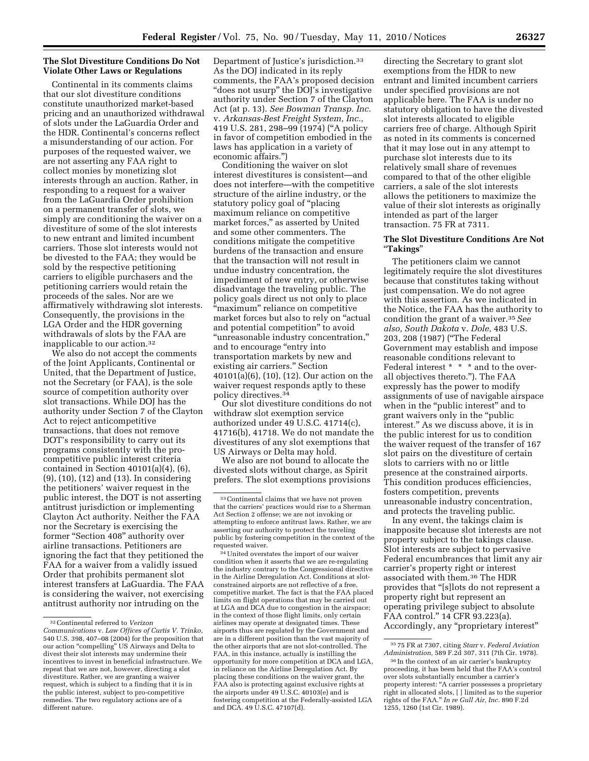## **The Slot Divestiture Conditions Do Not Violate Other Laws or Regulations**

Continental in its comments claims that our slot divestiture conditions constitute unauthorized market-based pricing and an unauthorized withdrawal of slots under the LaGuardia Order and the HDR. Continental's concerns reflect a misunderstanding of our action. For purposes of the requested waiver, we are not asserting any FAA right to collect monies by monetizing slot interests through an auction. Rather, in responding to a request for a waiver from the LaGuardia Order prohibition on a permanent transfer of slots, we simply are conditioning the waiver on a divestiture of some of the slot interests to new entrant and limited incumbent carriers. Those slot interests would not be divested to the FAA; they would be sold by the respective petitioning carriers to eligible purchasers and the petitioning carriers would retain the proceeds of the sales. Nor are we affirmatively withdrawing slot interests. Consequently, the provisions in the LGA Order and the HDR governing withdrawals of slots by the FAA are inapplicable to our action.32

We also do not accept the comments of the Joint Applicants, Continental or United, that the Department of Justice, not the Secretary (or FAA), is the sole source of competition authority over slot transactions. While DOJ has the authority under Section 7 of the Clayton Act to reject anticompetitive transactions, that does not remove DOT's responsibility to carry out its programs consistently with the procompetitive public interest criteria contained in Section 40101(a)(4), (6), (9), (10), (12) and (13). In considering the petitioners' waiver request in the public interest, the DOT is not asserting antitrust jurisdiction or implementing Clayton Act authority. Neither the FAA nor the Secretary is exercising the former "Section 408" authority over airline transactions. Petitioners are ignoring the fact that they petitioned the FAA for a waiver from a validly issued Order that prohibits permanent slot interest transfers at LaGuardia. The FAA is considering the waiver, not exercising antitrust authority nor intruding on the

Department of Justice's jurisdiction.33 As the DOJ indicated in its reply comments, the FAA's proposed decision "does not usurp" the DOJ's investigative authority under Section 7 of the Clayton Act (at p. 13). *See Bowman Transp. Inc.*  v. *Arkansas-Best Freight System, Inc.,*  419 U.S. 281, 298–99 (1974) (''A policy in favor of competition embodied in the laws has application in a variety of economic affairs.'')

Conditioning the waiver on slot interest divestitures is consistent—and does not interfere—with the competitive structure of the airline industry, or the statutory policy goal of ''placing maximum reliance on competitive market forces,'' as asserted by United and some other commenters. The conditions mitigate the competitive burdens of the transaction and ensure that the transaction will not result in undue industry concentration, the impediment of new entry, or otherwise disadvantage the traveling public. The policy goals direct us not only to place ''maximum'' reliance on competitive market forces but also to rely on "actual and potential competition'' to avoid ''unreasonable industry concentration,'' and to encourage "entry into transportation markets by new and existing air carriers.'' Section 40101(a)(6), (10), (12). Our action on the waiver request responds aptly to these policy directives.34

Our slot divestiture conditions do not withdraw slot exemption service authorized under 49 U.S.C. 41714(c), 41716(b), 41718. We do not mandate the divestitures of any slot exemptions that US Airways or Delta may hold.

We also are not bound to allocate the divested slots without charge, as Spirit prefers. The slot exemptions provisions

<sup>34</sup> United overstates the import of our waiver condition when it asserts that we are re-regulating the industry contrary to the Congressional directive in the Airline Deregulation Act. Conditions at slotconstrained airports are not reflective of a free, competitive market. The fact is that the FAA placed limits on flight operations that may be carried out at LGA and DCA due to congestion in the airspace; in the context of those flight limits, only certain airlines may operate at designated times. These airports thus are regulated by the Government and are in a different position than the vast majority of the other airports that are not slot-controlled. The FAA, in this instance, actually is instilling the opportunity for more competition at DCA and LGA, in reliance on the Airline Deregulation Act. By placing these conditions on the waiver grant, the FAA also is protecting against exclusive rights at the airports under 49 U.S.C. 40103(e) and is fostering competition at the Federally-assisted LGA and DCA. 49 U.S.C. 47107(d).

directing the Secretary to grant slot exemptions from the HDR to new entrant and limited incumbent carriers under specified provisions are not applicable here. The FAA is under no statutory obligation to have the divested slot interests allocated to eligible carriers free of charge. Although Spirit as noted in its comments is concerned that it may lose out in any attempt to purchase slot interests due to its relatively small share of revenues compared to that of the other eligible carriers, a sale of the slot interests allows the petitioners to maximize the value of their slot interests as originally intended as part of the larger transaction. 75 FR at 7311.

## **The Slot Divestiture Conditions Are Not**  ''**Takings**''

The petitioners claim we cannot legitimately require the slot divestitures because that constitutes taking without just compensation. We do not agree with this assertion. As we indicated in the Notice, the FAA has the authority to condition the grant of a waiver.35*See also, South Dakota* v. *Dole,* 483 U.S. 203, 208 (1987) (''The Federal Government may establish and impose reasonable conditions relevant to Federal interest \* \* \* and to the overall objectives thereto.''). The FAA expressly has the power to modify assignments of use of navigable airspace when in the "public interest" and to grant waivers only in the ''public interest.'' As we discuss above, it is in the public interest for us to condition the waiver request of the transfer of 167 slot pairs on the divestiture of certain slots to carriers with no or little presence at the constrained airports. This condition produces efficiencies, fosters competition, prevents unreasonable industry concentration, and protects the traveling public.

In any event, the takings claim is inapposite because slot interests are not property subject to the takings clause. Slot interests are subject to pervasive Federal encumbrances that limit any air carrier's property right or interest associated with them.36 The HDR provides that ''[s]lots do not represent a property right but represent an operating privilege subject to absolute FAA control.'' 14 CFR 93.223(a). Accordingly, any ''proprietary interest''

<sup>32</sup>Continental referred to *Verizon Communications* v. *Law Offices of Curtis V. Trinko,*  540 U.S. 398, 407–08 (2004) for the proposition that our action ''compelling'' US Airways and Delta to divest their slot interests may undermine their incentives to invest in beneficial infrastructure. We repeat that we are not, however, directing a slot divestiture. Rather, we are granting a waiver request, which is subject to a finding that it is in the public interest, subject to pro-competitive remedies. The two regulatory actions are of a different nature.

<sup>33</sup>Continental claims that we have not proven that the carriers' practices would rise to a Sherman Act Section 2 offense; we are not invoking or attempting to enforce antitrust laws. Rather, we are asserting our authority to protect the traveling public by fostering competition in the context of the requested waiver.

<sup>35</sup> 75 FR at 7307, citing *Starr* v. *Federal Aviation Administration,* 589 F.2d 307, 311 (7th Cir. 1978).

<sup>36</sup> In the context of an air carrier's bankruptcy proceeding, it has been held that the FAA's control over slots substantially encumber a carrier's property interest: ''A carrier possesses a proprietary right in allocated slots, [ ] limited as to the superior rights of the FAA.'' *In re Gull Air, Inc.* 890 F.2d 1255, 1260 (1st Cir. 1989).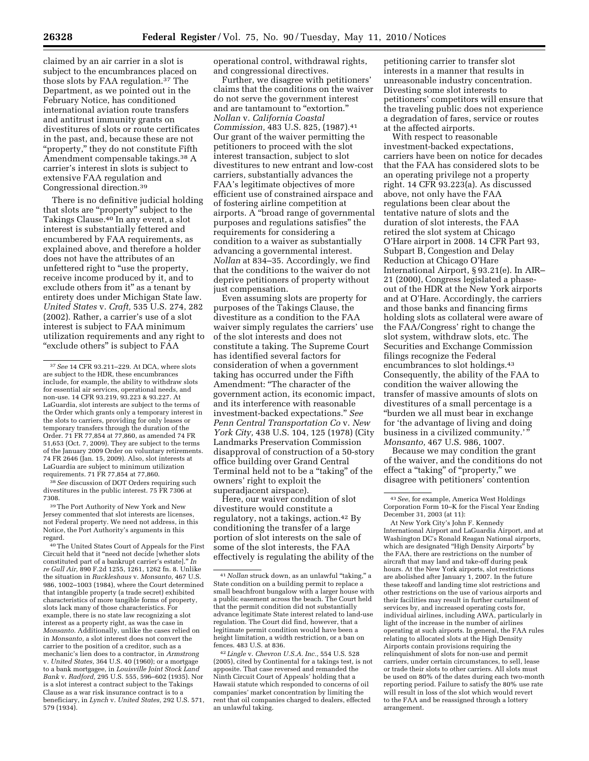claimed by an air carrier in a slot is subject to the encumbrances placed on those slots by FAA regulation.37 The Department, as we pointed out in the February Notice, has conditioned international aviation route transfers and antitrust immunity grants on divestitures of slots or route certificates in the past, and, because these are not ''property,'' they do not constitute Fifth Amendment compensable takings.38 A carrier's interest in slots is subject to extensive FAA regulation and Congressional direction.39

There is no definitive judicial holding that slots are ''property'' subject to the Takings Clause.40 In any event, a slot interest is substantially fettered and encumbered by FAA requirements, as explained above, and therefore a holder does not have the attributes of an unfettered right to "use the property, receive income produced by it, and to exclude others from it" as a tenant by entirety does under Michigan State law. *United States* v. *Craft,* 535 U.S. 274, 282 (2002). Rather, a carrier's use of a slot interest is subject to FAA minimum utilization requirements and any right to "exclude others" is subject to FAA

38*See* discussion of DOT Orders requiring such divestitures in the public interest. 75 FR 7306 at 7308.

39The Port Authority of New York and New Jersey commented that slot interests are licenses, not Federal property. We need not address, in this Notice, the Port Authority's arguments in this regard.

40The United States Court of Appeals for the First Circuit held that it ''need not decide [whether slots constituted part of a bankrupt carrier's estate].'' *In re Gull Air,* 890 F.2d 1255, 1261, 1262 fn. 8. Unlike the situation in *Ruckleshaus* v. *Monsanto,* 467 U.S. 986, 1002–1003 (1984), where the Court determined that intangible property (a trade secret) exhibited characteristics of more tangible forms of property, slots lack many of those characteristics. For example, there is no state law recognizing a slot interest as a property right, as was the case in *Monsanto.* Additionally, unlike the cases relied on in *Monsanto,* a slot interest does not convert the carrier to the position of a creditor, such as a mechanic's lien does to a contractor, in *Armstrong*  v. *United States,* 364 U.S. 40 (1960); or a mortgage to a bank mortgagee, in *Louisville Joint Stock Land Bank* v. *Radford,* 295 U.S. 555, 596–602 (1935). Nor is a slot interest a contract subject to the Takings Clause as a war risk insurance contract is to a beneficiary, in *Lynch* v. *United States,* 292 U.S. 571, 579 (1934).

operational control, withdrawal rights, and congressional directives.

Further, we disagree with petitioners' claims that the conditions on the waiver do not serve the government interest and are tantamount to "extortion." *Nollan* v. *California Coastal Commission,* 483 U.S. 825, (1987).41 Our grant of the waiver permitting the petitioners to proceed with the slot interest transaction, subject to slot divestitures to new entrant and low-cost carriers, substantially advances the FAA's legitimate objectives of more efficient use of constrained airspace and of fostering airline competition at airports. A ''broad range of governmental purposes and regulations satisfies'' the requirements for considering a condition to a waiver as substantially advancing a governmental interest. *Nollan* at 834–35. Accordingly, we find that the conditions to the waiver do not deprive petitioners of property without just compensation.

Even assuming slots are property for purposes of the Takings Clause, the divestiture as a condition to the FAA waiver simply regulates the carriers' use of the slot interests and does not constitute a taking. The Supreme Court has identified several factors for consideration of when a government taking has occurred under the Fifth Amendment: ''The character of the government action, its economic impact, and its interference with reasonable investment-backed expectations.'' *See Penn Central Transportation Co* v. *New York City,* 438 U.S. 104, 125 (1978) (City Landmarks Preservation Commission disapproval of construction of a 50-story office building over Grand Central Terminal held not to be a ''taking'' of the owners' right to exploit the superadjacent airspace).

Here, our waiver condition of slot divestiture would constitute a regulatory, not a takings, action.42 By conditioning the transfer of a large portion of slot interests on the sale of some of the slot interests, the FAA effectively is regulating the ability of the

petitioning carrier to transfer slot interests in a manner that results in unreasonable industry concentration. Divesting some slot interests to petitioners' competitors will ensure that the traveling public does not experience a degradation of fares, service or routes at the affected airports.

With respect to reasonable investment-backed expectations, carriers have been on notice for decades that the FAA has considered slots to be an operating privilege not a property right. 14 CFR 93.223(a). As discussed above, not only have the FAA regulations been clear about the tentative nature of slots and the duration of slot interests, the FAA retired the slot system at Chicago O'Hare airport in 2008. 14 CFR Part 93, Subpart B, Congestion and Delay Reduction at Chicago O'Hare International Airport, § 93.21(e). In AIR– 21 (2000), Congress legislated a phaseout of the HDR at the New York airports and at O'Hare. Accordingly, the carriers and those banks and financing firms holding slots as collateral were aware of the FAA/Congress' right to change the slot system, withdraw slots, etc. The Securities and Exchange Commission filings recognize the Federal encumbrances to slot holdings.43 Consequently, the ability of the FAA to condition the waiver allowing the transfer of massive amounts of slots on divestitures of a small percentage is a ''burden we all must bear in exchange for 'the advantage of living and doing business in a civilized community.'' *Monsanto,* 467 U.S. 986, 1007.

Because we may condition the grant of the waiver, and the conditions do not effect a "taking" of "property," we disagree with petitioners' contention

<sup>37</sup>*See* 14 CFR 93.211–229. At DCA, where slots are subject to the HDR, these encumbrances include, for example, the ability to withdraw slots for essential air services, operational needs, and non-use. 14 CFR 93.219, 93.223 & 93.227. At LaGuardia, slot interests are subject to the terms of the Order which grants only a temporary interest in the slots to carriers, providing for only leases or temporary transfers through the duration of the Order. 71 FR 77,854 at 77,860, as amended 74 FR 51,653 (Oct. 7, 2009). They are subject to the terms of the January 2009 Order on voluntary retirements. 74 FR 2646 (Jan. 15, 2009). Also, slot interests at LaGuardia are subject to minimum utilization requirements. 71 FR 77,854 at 77,860.

<sup>&</sup>lt;sup>41</sup> Nollan struck down, as an unlawful "taking," a State condition on a building permit to replace a small beachfront bungalow with a larger house with a public easement across the beach. The Court held that the permit condition did not substantially advance legitimate State interest related to land-use regulation. The Court did find, however, that a legitimate permit condition would have been a height limitation, a width restriction, or a ban on fences. 483 U.S. at 836.

<sup>42</sup> *Lingle* v. *Chevron U.S.A. Inc.,* 554 U.S. 528 (2005), cited by Continental for a takings test, is not apposite. That case reversed and remanded the Ninth Circuit Court of Appeals' holding that a Hawaii statute which responded to concerns of oil companies' market concentration by limiting the rent that oil companies charged to dealers, effected an unlawful taking.

<sup>43</sup>*See*, for example, America West Holdings Corporation Form 10–K for the Fiscal Year Ending December 31, 2003 (at 11):

At New York City's John F. Kennedy International Airport and LaGuardia Airport, and at Washington DC's Ronald Reagan National airports, which are designated "High Density Airports" by the FAA, there are restrictions on the number of aircraft that may land and take-off during peak hours. At the New York airports, slot restrictions are abolished after January 1, 2007. In the future these takeoff and landing time slot restrictions and other restrictions on the use of various airports and their facilities may result in further curtailment of services by, and increased operating costs for, individual airlines, including AWA, particularly in light of the increase in the number of airlines operating at such airports. In general, the FAA rules relating to allocated slots at the High Density Airports contain provisions requiring the relinquishment of slots for non-use and permit carriers, under certain circumstances, to sell, lease or trade their slots to other carriers. All slots must be used on 80% of the dates during each two-month reporting period. Failure to satisfy the 80% use rate will result in loss of the slot which would revert to the FAA and be reassigned through a lottery arrangement.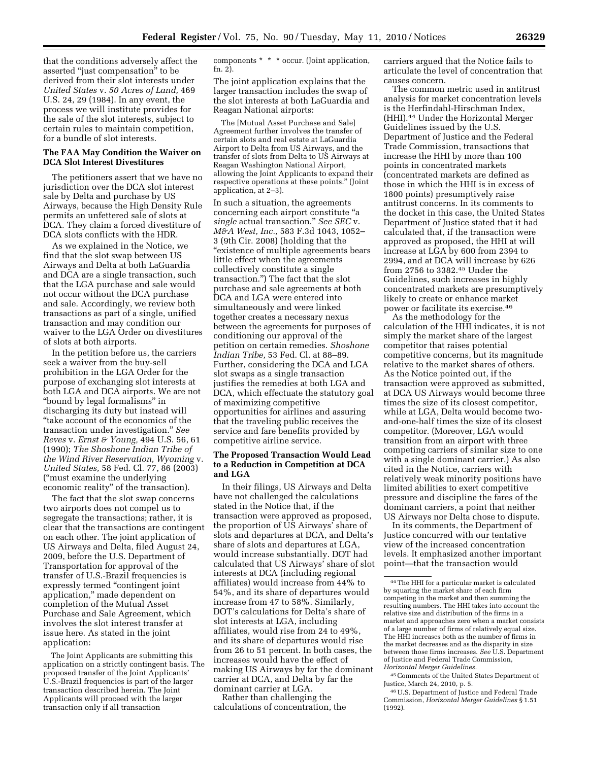that the conditions adversely affect the asserted ''just compensation'' to be derived from their slot interests under *United States* v. *50 Acres of Land,* 469 U.S. 24, 29 (1984). In any event, the process we will institute provides for the sale of the slot interests, subject to certain rules to maintain competition, for a bundle of slot interests.

## **The FAA May Condition the Waiver on DCA Slot Interest Divestitures**

The petitioners assert that we have no jurisdiction over the DCA slot interest sale by Delta and purchase by US Airways, because the High Density Rule permits an unfettered sale of slots at DCA. They claim a forced divestiture of DCA slots conflicts with the HDR.

As we explained in the Notice, we find that the slot swap between US Airways and Delta at both LaGuardia and DCA are a single transaction, such that the LGA purchase and sale would not occur without the DCA purchase and sale. Accordingly, we review both transactions as part of a single, unified transaction and may condition our waiver to the LGA Order on divestitures of slots at both airports.

In the petition before us, the carriers seek a waiver from the buy-sell prohibition in the LGA Order for the purpose of exchanging slot interests at both LGA and DCA airports. We are not ''bound by legal formalisms'' in discharging its duty but instead will ''take account of the economics of the transaction under investigation.'' *See Reves* v. *Ernst & Young,* 494 U.S. 56, 61 (1990); *The Shoshone Indian Tribe of the Wind River Reservation, Wyoming* v. *United States,* 58 Fed. Cl. 77, 86 (2003) (''must examine the underlying economic reality'' of the transaction).

The fact that the slot swap concerns two airports does not compel us to segregate the transactions; rather, it is clear that the transactions are contingent on each other. The joint application of US Airways and Delta, filed August 24, 2009, before the U.S. Department of Transportation for approval of the transfer of U.S.-Brazil frequencies is expressly termed ''contingent joint application,'' made dependent on completion of the Mutual Asset Purchase and Sale Agreement, which involves the slot interest transfer at issue here. As stated in the joint application:

The Joint Applicants are submitting this application on a strictly contingent basis. The proposed transfer of the Joint Applicants' U.S.-Brazil frequencies is part of the larger transaction described herein. The Joint Applicants will proceed with the larger transaction only if all transaction

components \* \* \* occur. (Joint application, fn. 2).

The joint application explains that the larger transaction includes the swap of the slot interests at both LaGuardia and Reagan National airports:

The [Mutual Asset Purchase and Sale] Agreement further involves the transfer of certain slots and real estate at LaGuardia Airport to Delta from US Airways, and the transfer of slots from Delta to US Airways at Reagan Washington National Airport, allowing the Joint Applicants to expand their respective operations at these points.'' (Joint application, at 2–3).

In such a situation, the agreements concerning each airport constitute ''a *single* actual transaction.'' *See SEC* v. *M&A West, Inc.,* 583 F.3d 1043, 1052– 3 (9th Cir. 2008) (holding that the ''existence of multiple agreements bears little effect when the agreements collectively constitute a single transaction.'') The fact that the slot purchase and sale agreements at both DCA and LGA were entered into simultaneously and were linked together creates a necessary nexus between the agreements for purposes of conditioning our approval of the petition on certain remedies. *Shoshone Indian Tribe,* 53 Fed. Cl. at 88–89. Further, considering the DCA and LGA slot swaps as a single transaction justifies the remedies at both LGA and DCA, which effectuate the statutory goal of maximizing competitive opportunities for airlines and assuring that the traveling public receives the service and fare benefits provided by competitive airline service.

## **The Proposed Transaction Would Lead to a Reduction in Competition at DCA and LGA**

In their filings, US Airways and Delta have not challenged the calculations stated in the Notice that, if the transaction were approved as proposed, the proportion of US Airways' share of slots and departures at DCA, and Delta's share of slots and departures at LGA, would increase substantially. DOT had calculated that US Airways' share of slot interests at DCA (including regional affiliates) would increase from 44% to 54%, and its share of departures would increase from 47 to 58%. Similarly, DOT's calculations for Delta's share of slot interests at LGA, including affiliates, would rise from 24 to 49%, and its share of departures would rise from 26 to 51 percent. In both cases, the increases would have the effect of making US Airways by far the dominant carrier at DCA, and Delta by far the dominant carrier at LGA.

Rather than challenging the calculations of concentration, the carriers argued that the Notice fails to articulate the level of concentration that causes concern.

The common metric used in antitrust analysis for market concentration levels is the Herfindahl-Hirschman Index, (HHI).44 Under the Horizontal Merger Guidelines issued by the U.S. Department of Justice and the Federal Trade Commission, transactions that increase the HHI by more than 100 points in concentrated markets (concentrated markets are defined as those in which the HHI is in excess of 1800 points) presumptively raise antitrust concerns. In its comments to the docket in this case, the United States Department of Justice stated that it had calculated that, if the transaction were approved as proposed, the HHI at will increase at LGA by 600 from 2394 to 2994, and at DCA will increase by 626 from 2756 to 3382.45 Under the Guidelines, such increases in highly concentrated markets are presumptively likely to create or enhance market power or facilitate its exercise.46

As the methodology for the calculation of the HHI indicates, it is not simply the market share of the largest competitor that raises potential competitive concerns, but its magnitude relative to the market shares of others. As the Notice pointed out, if the transaction were approved as submitted, at DCA US Airways would become three times the size of its closest competitor, while at LGA, Delta would become twoand-one-half times the size of its closest competitor. (Moreover, LGA would transition from an airport with three competing carriers of similar size to one with a single dominant carrier.) As also cited in the Notice, carriers with relatively weak minority positions have limited abilities to exert competitive pressure and discipline the fares of the dominant carriers, a point that neither US Airways nor Delta chose to dispute.

In its comments, the Department of Justice concurred with our tentative view of the increased concentration levels. It emphasized another important point—that the transaction would

45Comments of the United States Department of Justice, March 24, 2010, p. 5.

<sup>44</sup>The HHI for a particular market is calculated by squaring the market share of each firm competing in the market and then summing the resulting numbers. The HHI takes into account the relative size and distribution of the firms in a market and approaches zero when a market consists of a large number of firms of relatively equal size. The HHI increases both as the number of firms in the market decreases and as the disparity in size between those firms increases. *See* U.S. Department of Justice and Federal Trade Commission, *Horizontal Merger Guidelines.* 

<sup>46</sup>U.S. Department of Justice and Federal Trade Commission, *Horizontal Merger Guidelines* § 1.51 (1992).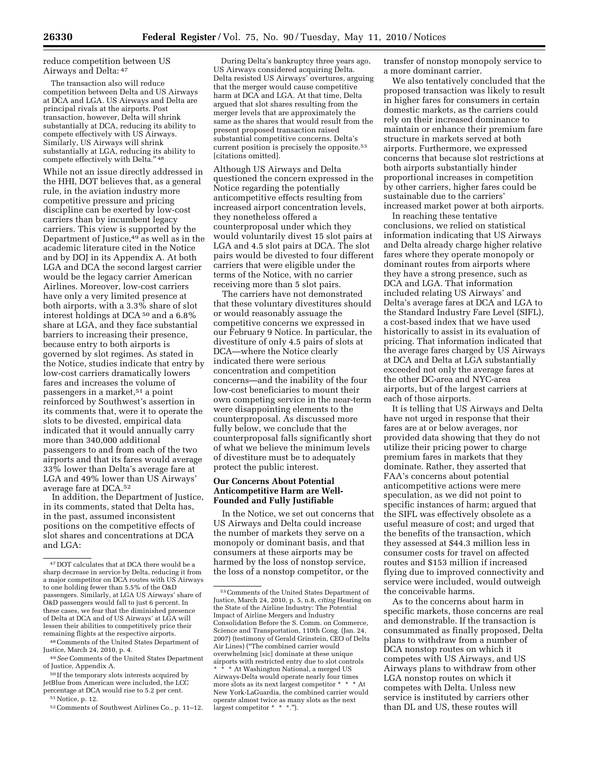reduce competition between US Airways and Delta: 47

The transaction also will reduce competition between Delta and US Airways at DCA and LGA. US Airways and Delta are principal rivals at the airports. Post transaction, however, Delta will shrink substantially at DCA, reducing its ability to compete effectively with US Airways. Similarly, US Airways will shrink substantially at LGA, reducing its ability to compete effectively with Delta." 48

While not an issue directly addressed in the HHI, DOT believes that, as a general rule, in the aviation industry more competitive pressure and pricing discipline can be exerted by low-cost carriers than by incumbent legacy carriers. This view is supported by the Department of Justice,49 as well as in the academic literature cited in the Notice and by DOJ in its Appendix A. At both LGA and DCA the second largest carrier would be the legacy carrier American Airlines. Moreover, low-cost carriers have only a very limited presence at both airports, with a 3.3% share of slot interest holdings at DCA 50 and a 6.8% share at LGA, and they face substantial barriers to increasing their presence, because entry to both airports is governed by slot regimes. As stated in the Notice, studies indicate that entry by low-cost carriers dramatically lowers fares and increases the volume of passengers in a market,51 a point reinforced by Southwest's assertion in its comments that, were it to operate the slots to be divested, empirical data indicated that it would annually carry more than 340,000 additional passengers to and from each of the two airports and that its fares would average 33% lower than Delta's average fare at LGA and 49% lower than US Airways' average fare at DCA.52

In addition, the Department of Justice, in its comments, stated that Delta has, in the past, assumed inconsistent positions on the competitive effects of slot shares and concentrations at DCA and LGA:

48Comments of the United States Department of Justice, March 24, 2010, p. 4.

During Delta's bankruptcy three years ago, US Airways considered acquiring Delta. Delta resisted US Airways' overtures, arguing that the merger would cause competitive harm at DCA and LGA. At that time, Delta argued that slot shares resulting from the merger levels that are approximately the same as the shares that would result from the present proposed transaction raised substantial competitive concerns. Delta's current position is precisely the opposite.<sup>53</sup> [citations omitted].

Although US Airways and Delta questioned the concern expressed in the Notice regarding the potentially anticompetitive effects resulting from increased airport concentration levels, they nonetheless offered a counterproposal under which they would voluntarily divest 15 slot pairs at LGA and 4.5 slot pairs at DCA. The slot pairs would be divested to four different carriers that were eligible under the terms of the Notice, with no carrier receiving more than 5 slot pairs.

The carriers have not demonstrated that these voluntary divestitures should or would reasonably assuage the competitive concerns we expressed in our February 9 Notice. In particular, the divestiture of only 4.5 pairs of slots at DCA—where the Notice clearly indicated there were serious concentration and competition concerns—and the inability of the four low-cost beneficiaries to mount their own competing service in the near-term were disappointing elements to the counterproposal. As discussed more fully below, we conclude that the counterproposal falls significantly short of what we believe the minimum levels of divestiture must be to adequately protect the public interest.

## **Our Concerns About Potential Anticompetitive Harm are Well-Founded and Fully Justifiable**

In the Notice, we set out concerns that US Airways and Delta could increase the number of markets they serve on a monopoly or dominant basis, and that consumers at these airports may be harmed by the loss of nonstop service, the loss of a nonstop competitor, or the

transfer of nonstop monopoly service to a more dominant carrier.

We also tentatively concluded that the proposed transaction was likely to result in higher fares for consumers in certain domestic markets, as the carriers could rely on their increased dominance to maintain or enhance their premium fare structure in markets served at both airports. Furthermore, we expressed concerns that because slot restrictions at both airports substantially hinder proportional increases in competition by other carriers, higher fares could be sustainable due to the carriers' increased market power at both airports.

In reaching these tentative conclusions, we relied on statistical information indicating that US Airways and Delta already charge higher relative fares where they operate monopoly or dominant routes from airports where they have a strong presence, such as DCA and LGA. That information included relating US Airways' and Delta's average fares at DCA and LGA to the Standard Industry Fare Level (SIFL), a cost-based index that we have used historically to assist in its evaluation of pricing. That information indicated that the average fares charged by US Airways at DCA and Delta at LGA substantially exceeded not only the average fares at the other DC-area and NYC-area airports, but of the largest carriers at each of those airports.

It is telling that US Airways and Delta have not urged in response that their fares are at or below averages, nor provided data showing that they do not utilize their pricing power to charge premium fares in markets that they dominate. Rather, they asserted that FAA's concerns about potential anticompetitive actions were mere speculation, as we did not point to specific instances of harm; argued that the SIFL was effectively obsolete as a useful measure of cost; and urged that the benefits of the transaction, which they assessed at \$44.3 million less in consumer costs for travel on affected routes and \$153 million if increased flying due to improved connectivity and service were included, would outweigh the conceivable harms.

As to the concerns about harm in specific markets, those concerns are real and demonstrable. If the transaction is consummated as finally proposed, Delta plans to withdraw from a number of DCA nonstop routes on which it competes with US Airways, and US Airways plans to withdraw from other LGA nonstop routes on which it competes with Delta. Unless new service is instituted by carriers other than DL and US, these routes will

<sup>47</sup> DOT calculates that at DCA there would be a sharp decrease in service by Delta, reducing it from a major competitor on DCA routes with US Airways to one holding fewer than 5.5% of the O&D passengers. Similarly, at LGA US Airways' share of O&D passengers would fall to just 6 percent. In these cases, we fear that the diminished presence of Delta at DCA and of US Airways' at LGA will lessen their abilities to competitively price their remaining flights at the respective airports.

<sup>49</sup>*See* Comments of the United States Department of Justice, Appendix A.

<sup>&</sup>lt;sup>50</sup> If the temporary slots interests acquired by JetBlue from American were included, the LCC percentage at DCA would rise to 5.2 per cent.

<sup>51</sup>Notice, p. 12.

<sup>52</sup>Comments of Southwest Airlines Co., p. 11–12.

<sup>53</sup>Comments of the United States Department of Justice, March 24, 2010, p. 5, n.8, *citing* Hearing on the State of the Airline Industry: The Potential Impact of Airline Mergers and Industry Consolidation Before the S. Comm. on Commerce, Science and Transportation, 110th Cong. (Jan. 24, 2007) (testimony of Gerald Grinstein, CEO of Delta Air Lines) (''The combined carrier would overwhelming [sic] dominate at these unique airports with restricted entry due to slot controls \* At Washington National, a merged US Airways-Delta would operate nearly four times more slots as its next largest competitor \* \* \* At New York-LaGuardia, the combined carrier would operate almost twice as many slots as the next largest competitor \* \* \*.'').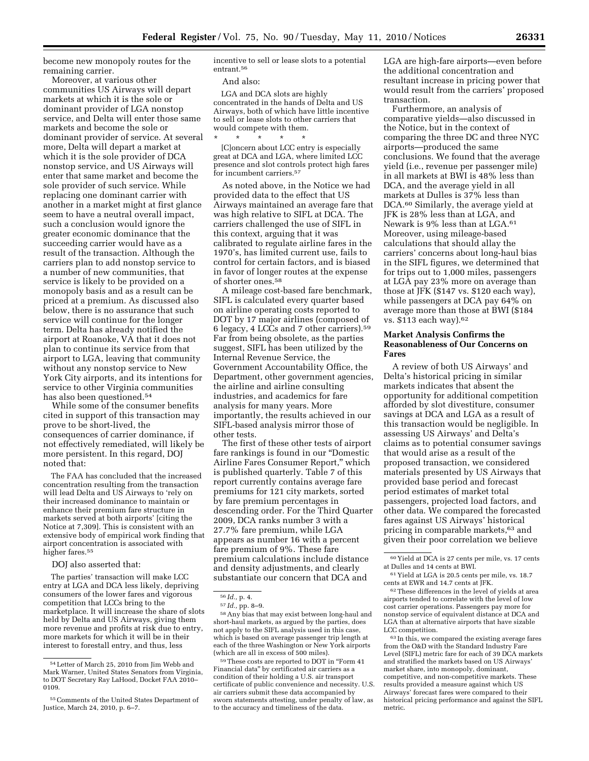become new monopoly routes for the remaining carrier.

Moreover, at various other communities US Airways will depart markets at which it is the sole or dominant provider of LGA nonstop service, and Delta will enter those same markets and become the sole or dominant provider of service. At several more, Delta will depart a market at which it is the sole provider of DCA nonstop service, and US Airways will enter that same market and become the sole provider of such service. While replacing one dominant carrier with another in a market might at first glance seem to have a neutral overall impact, such a conclusion would ignore the greater economic dominance that the succeeding carrier would have as a result of the transaction. Although the carriers plan to add nonstop service to a number of new communities, that service is likely to be provided on a monopoly basis and as a result can be priced at a premium. As discussed also below, there is no assurance that such service will continue for the longer term. Delta has already notified the airport at Roanoke, VA that it does not plan to continue its service from that airport to LGA, leaving that community without any nonstop service to New York City airports, and its intentions for service to other Virginia communities has also been questioned.54

While some of the consumer benefits cited in support of this transaction may prove to be short-lived, the consequences of carrier dominance, if not effectively remediated, will likely be more persistent. In this regard, DOJ noted that:

The FAA has concluded that the increased concentration resulting from the transaction will lead Delta and US Airways to 'rely on their increased dominance to maintain or enhance their premium fare structure in markets served at both airports' [citing the Notice at 7,309]. This is consistent with an extensive body of empirical work finding that airport concentration is associated with higher fares.<sup>55</sup>

DOJ also asserted that:

The parties' transaction will make LCC entry at LGA and DCA less likely, depriving consumers of the lower fares and vigorous competition that LCCs bring to the marketplace. It will increase the share of slots held by Delta and US Airways, giving them more revenue and profits at risk due to entry, more markets for which it will be in their interest to forestall entry, and thus, less

incentive to sell or lease slots to a potential entrant.56

And also:

LGA and DCA slots are highly concentrated in the hands of Delta and US Airways, both of which have little incentive to sell or lease slots to other carriers that would compete with them.<br> $*$  \* \* \* \* \*

\* \* \* \* \* [C]oncern about LCC entry is especially great at DCA and LGA, where limited LCC presence and slot controls protect high fares for incumbent carriers.57

As noted above, in the Notice we had provided data to the effect that US Airways maintained an average fare that was high relative to SIFL at DCA. The carriers challenged the use of SIFL in this context, arguing that it was calibrated to regulate airline fares in the 1970's, has limited current use, fails to control for certain factors, and is biased in favor of longer routes at the expense of shorter ones.58

A mileage cost-based fare benchmark, SIFL is calculated every quarter based on airline operating costs reported to DOT by 17 major airlines (composed of 6 legacy, 4 LCCs and 7 other carriers).59 Far from being obsolete, as the parties suggest, SIFL has been utilized by the Internal Revenue Service, the Government Accountability Office, the Department, other government agencies, the airline and airline consulting industries, and academics for fare analysis for many years. More importantly, the results achieved in our SIFL-based analysis mirror those of other tests.

The first of these other tests of airport fare rankings is found in our ''Domestic Airline Fares Consumer Report,'' which is published quarterly. Table 7 of this report currently contains average fare premiums for 121 city markets, sorted by fare premium percentages in descending order. For the Third Quarter 2009, DCA ranks number 3 with a 27.7% fare premium, while LGA appears as number 16 with a percent fare premium of 9%. These fare premium calculations include distance and density adjustments, and clearly substantiate our concern that DCA and

58Any bias that may exist between long-haul and short-haul markets, as argued by the parties, does not apply to the SIFL analysis used in this case, which is based on average passenger trip length at each of the three Washington or New York airports (which are all in excess of 500 miles).

59These costs are reported to DOT in ''Form 41 Financial data'' by certificated air carriers as a condition of their holding a U.S. air transport certificate of public convenience and necessity. U.S. air carriers submit these data accompanied by sworn statements attesting, under penalty of law, as to the accuracy and timeliness of the data.

LGA are high-fare airports—even before the additional concentration and resultant increase in pricing power that would result from the carriers' proposed transaction.

Furthermore, an analysis of comparative yields—also discussed in the Notice, but in the context of comparing the three DC and three NYC airports—produced the same conclusions. We found that the average yield (i.e., revenue per passenger mile) in all markets at BWI is 48% less than DCA, and the average yield in all markets at Dulles is 37% less than DCA.60 Similarly, the average yield at JFK is 28% less than at LGA, and Newark is 9% less than at LGA.61 Moreover, using mileage-based calculations that should allay the carriers' concerns about long-haul bias in the SIFL figures, we determined that for trips out to 1,000 miles, passengers at LGA pay 23% more on average than those at JFK (\$147 vs. \$120 each way), while passengers at DCA pay 64% on average more than those at BWI (\$184 vs. \$113 each way).62

## **Market Analysis Confirms the Reasonableness of Our Concerns on Fares**

A review of both US Airways' and Delta's historical pricing in similar markets indicates that absent the opportunity for additional competition afforded by slot divestiture, consumer savings at DCA and LGA as a result of this transaction would be negligible. In assessing US Airways' and Delta's claims as to potential consumer savings that would arise as a result of the proposed transaction, we considered materials presented by US Airways that provided base period and forecast period estimates of market total passengers, projected load factors, and other data. We compared the forecasted fares against US Airways' historical pricing in comparable markets,63 and given their poor correlation we believe

63 In this, we compared the existing average fares from the O&D with the Standard Industry Fare Level (SIFL) metric fare for each of 39 DCA markets and stratified the markets based on US Airways' market share, into monopoly, dominant, competitive, and non-competitive markets. These results provided a measure against which US Airways' forecast fares were compared to their historical pricing performance and against the SIFL metric.

<sup>54</sup>Letter of March 25, 2010 from Jim Webb and Mark Warner, United States Senators from Virginia, to DOT Secretary Ray LaHood, Docket FAA 2010– 0109.

<sup>55</sup>Comments of the United States Department of Justice, March 24, 2010, p. 6–7.

<sup>56</sup> *Id.,* p. 4.

<sup>57</sup> *Id.,* pp. 8–9.

 $\rm ^{60}$  Yield at DCA is 27 cents per mile, vs. 17 cents at Dulles and 14 cents at BWI.

<sup>61</sup> Yield at LGA is 20.5 cents per mile, vs. 18.7 cents at EWR and 14.7 cents at JFK.

<sup>62</sup>These differences in the level of yields at area airports tended to correlate with the level of low cost carrier operations. Passengers pay more for nonstop service of equivalent distance at DCA and LGA than at alternative airports that have sizable LCC competition.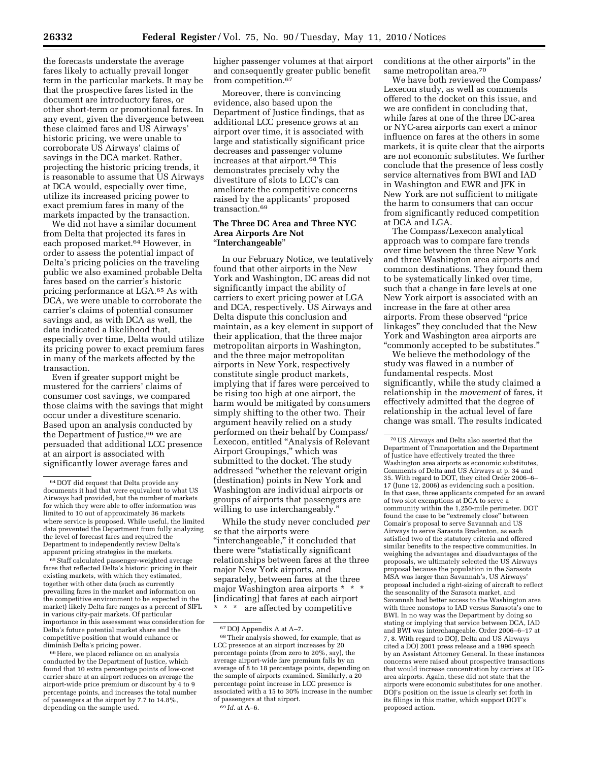the forecasts understate the average fares likely to actually prevail longer term in the particular markets. It may be that the prospective fares listed in the document are introductory fares, or other short-term or promotional fares. In any event, given the divergence between these claimed fares and US Airways' historic pricing, we were unable to corroborate US Airways' claims of savings in the DCA market. Rather, projecting the historic pricing trends, it is reasonable to assume that US Airways at DCA would, especially over time, utilize its increased pricing power to exact premium fares in many of the markets impacted by the transaction.

We did not have a similar document from Delta that projected its fares in each proposed market.64 However, in order to assess the potential impact of Delta's pricing policies on the traveling public we also examined probable Delta fares based on the carrier's historic pricing performance at LGA.65 As with DCA, we were unable to corroborate the carrier's claims of potential consumer savings and, as with DCA as well, the data indicated a likelihood that, especially over time, Delta would utilize its pricing power to exact premium fares in many of the markets affected by the transaction.

Even if greater support might be mustered for the carriers' claims of consumer cost savings, we compared those claims with the savings that might occur under a divestiture scenario. Based upon an analysis conducted by the Department of Justice,<sup>66</sup> we are persuaded that additional LCC presence at an airport is associated with significantly lower average fares and

65Staff calculated passenger-weighted average fares that reflected Delta's historic pricing in their existing markets, with which they estimated, together with other data (such as currently prevailing fares in the market and information on the competitive environment to be expected in the market) likely Delta fare ranges as a percent of SIFL in various city-pair markets. Of particular importance in this assessment was consideration for Delta's future potential market share and the competitive position that would enhance or diminish Delta's pricing power.

66Here, we placed reliance on an analysis conducted by the Department of Justice, which found that 10 extra percentage points of low-cost carrier share at an airport reduces on average the airport-wide price premium or discount by 4 to 9 percentage points, and increases the total number of passengers at the airport by 7.7 to 14.8%, depending on the sample used.

higher passenger volumes at that airport and consequently greater public benefit from competition.67

Moreover, there is convincing evidence, also based upon the Department of Justice findings, that as additional LCC presence grows at an airport over time, it is associated with large and statistically significant price decreases and passenger volume increases at that airport.68 This demonstrates precisely why the divestiture of slots to LCC's can ameliorate the competitive concerns raised by the applicants' proposed transaction.69

## **The Three DC Area and Three NYC Area Airports Are Not**  ''**Interchangeable**''

In our February Notice, we tentatively found that other airports in the New York and Washington, DC areas did not significantly impact the ability of carriers to exert pricing power at LGA and DCA, respectively. US Airways and Delta dispute this conclusion and maintain, as a key element in support of their application, that the three major metropolitan airports in Washington, and the three major metropolitan airports in New York, respectively constitute single product markets, implying that if fares were perceived to be rising too high at one airport, the harm would be mitigated by consumers simply shifting to the other two. Their argument heavily relied on a study performed on their behalf by Compass/ Lexecon, entitled ''Analysis of Relevant Airport Groupings,'' which was submitted to the docket. The study addressed ''whether the relevant origin (destination) points in New York and Washington are individual airports or groups of airports that passengers are willing to use interchangeably.''

While the study never concluded *per se* that the airports were ''interchangeable,'' it concluded that there were ''statistically significant relationships between fares at the three major New York airports, and separately, between fares at the three major Washington area airports \* \* \* [indicating] that fares at each airport \* \* \* are affected by competitive

conditions at the other airports'' in the same metropolitan area.70

We have both reviewed the Compass/ Lexecon study, as well as comments offered to the docket on this issue, and we are confident in concluding that, while fares at one of the three DC-area or NYC-area airports can exert a minor influence on fares at the others in some markets, it is quite clear that the airports are not economic substitutes. We further conclude that the presence of less costly service alternatives from BWI and IAD in Washington and EWR and JFK in New York are not sufficient to mitigate the harm to consumers that can occur from significantly reduced competition at DCA and LGA.

The Compass/Lexecon analytical approach was to compare fare trends over time between the three New York and three Washington area airports and common destinations. They found them to be systematically linked over time, such that a change in fare levels at one New York airport is associated with an increase in the fare at other area airports. From these observed ''price linkages'' they concluded that the New York and Washington area airports are ''commonly accepted to be substitutes.''

We believe the methodology of the study was flawed in a number of fundamental respects. Most significantly, while the study claimed a relationship in the *movement* of fares, it effectively admitted that the degree of relationship in the actual level of fare change was small. The results indicated

<sup>64</sup> DOT did request that Delta provide any documents it had that were equivalent to what US Airways had provided, but the number of markets for which they were able to offer information was limited to 10 out of approximately 36 markets where service is proposed. While useful, the limited data prevented the Department from fully analyzing the level of forecast fares and required the Department to independently review Delta's apparent pricing strategies in the markets.

<sup>67</sup> DOJ Appendix A at A–7.

<sup>68</sup>Their analysis showed, for example, that as LCC presence at an airport increases by 20 percentage points (from zero to 20%, say), the average airport-wide fare premium falls by an average of 8 to 18 percentage points, depending on the sample of airports examined. Similarly, a 20 percentage point increase in LCC presence is associated with a 15 to 30% increase in the number of passengers at that airport. 69 *Id.* at A–6.

<sup>70</sup>US Airways and Delta also asserted that the Department of Transportation and the Department of Justice have effectively treated the three Washington area airports as economic substitutes, Comments of Delta and US Airways at p. 34 and 35. With regard to DOT, they cited Order 2006–6– 17 (June 12, 2006) as evidencing such a position. In that case, three applicants competed for an award of two slot exemptions at DCA to serve a community within the 1,250-mile perimeter. DOT found the case to be "extremely close" between Comair's proposal to serve Savannah and US Airways to serve Sarasota Bradenton, as each satisfied two of the statutory criteria and offered similar benefits to the respective communities. In weighing the advantages and disadvantages of the proposals, we ultimately selected the US Airways proposal because the population in the Sarasota MSA was larger than Savannah's, US Airways' proposal included a right-sizing of aircraft to reflect the seasonality of the Sarasota market, and Savannah had better access to the Washington area with three nonstops to IAD versus Sarasota's one to BWI. In no way was the Department by doing so stating or implying that service between DCA, IAD and BWI was interchangeable. Order 2006–6–17 at 7, 8. With regard to DOJ, Delta and US Airways cited a DOJ 2001 press release and a 1996 speech by an Assistant Attorney General. In these instances concerns were raised about prospective transactions that would increase concentration by carriers at DCarea airports. Again, these did not state that the airports were economic substitutes for one another. DOJ's position on the issue is clearly set forth in its filings in this matter, which support DOT's proposed action.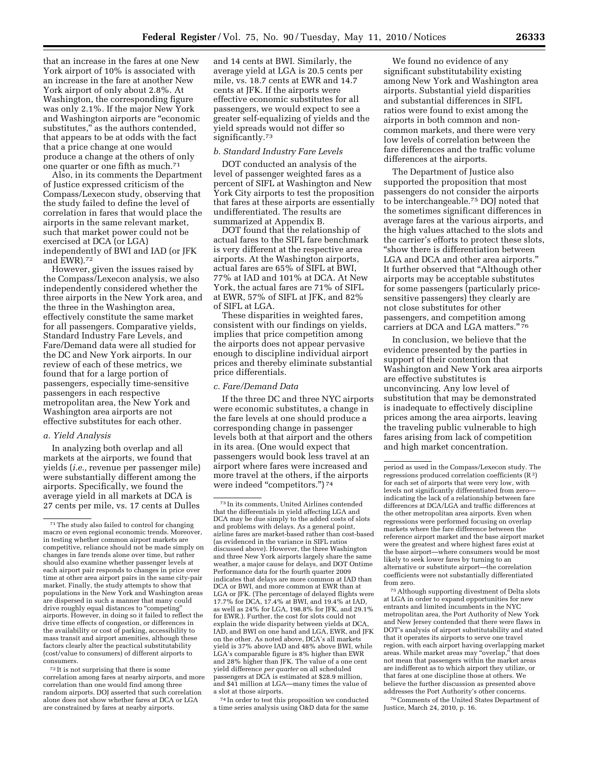that an increase in the fares at one New York airport of 10% is associated with an increase in the fare at another New York airport of only about 2.8%. At Washington, the corresponding figure was only 2.1%. If the major New York and Washington airports are ''economic substitutes,'' as the authors contended, that appears to be at odds with the fact that a price change at one would produce a change at the others of only one quarter or one fifth as much.71

Also, in its comments the Department of Justice expressed criticism of the Compass/Lexecon study, observing that the study failed to define the level of correlation in fares that would place the airports in the same relevant market, such that market power could not be exercised at DCA (or LGA) independently of BWI and IAD (or JFK and EWR).72

However, given the issues raised by the Compass/Lexecon analysis, we also independently considered whether the three airports in the New York area, and the three in the Washington area, effectively constitute the same market for all passengers. Comparative yields, Standard Industry Fare Levels, and Fare/Demand data were all studied for the DC and New York airports. In our review of each of these metrics, we found that for a large portion of passengers, especially time-sensitive passengers in each respective metropolitan area, the New York and Washington area airports are not effective substitutes for each other.

### *a. Yield Analysis*

In analyzing both overlap and all markets at the airports, we found that yields (*i.e.,* revenue per passenger mile) were substantially different among the airports. Specifically, we found the average yield in all markets at DCA is 27 cents per mile, vs. 17 cents at Dulles

72 It is not surprising that there is some correlation among fares at nearby airports, and more correlation than one would find among three random airports. DOJ asserted that such correlation alone does not show whether fares at DCA or LGA are constrained by fares at nearby airports.

and 14 cents at BWI. Similarly, the average yield at LGA is 20.5 cents per mile, vs. 18.7 cents at EWR and 14.7 cents at JFK. If the airports were effective economic substitutes for all passengers, we would expect to see a greater self-equalizing of yields and the yield spreads would not differ so significantly.73

## *b. Standard Industry Fare Levels*

DOT conducted an analysis of the level of passenger weighted fares as a percent of SIFL at Washington and New York City airports to test the proposition that fares at these airports are essentially undifferentiated. The results are summarized at Appendix B.

DOT found that the relationship of actual fares to the SIFL fare benchmark is very different at the respective area airports. At the Washington airports, actual fares are 65% of SIFL at BWI, 77% at IAD and 101% at DCA. At New York, the actual fares are 71% of SIFL at EWR, 57% of SIFL at JFK, and 82% of SIFL at LGA.

These disparities in weighted fares, consistent with our findings on yields, implies that price competition among the airports does not appear pervasive enough to discipline individual airport prices and thereby eliminate substantial price differentials.

#### *c. Fare/Demand Data*

If the three DC and three NYC airports were economic substitutes, a change in the fare levels at one should produce a corresponding change in passenger levels both at that airport and the others in its area. (One would expect that passengers would book less travel at an airport where fares were increased and more travel at the others, if the airports were indeed "competitors.")<sup>74</sup>

74 In order to test this proposition we conducted a time series analysis using O&D data for the same

We found no evidence of any significant substitutability existing among New York and Washington area airports. Substantial yield disparities and substantial differences in SIFL ratios were found to exist among the airports in both common and noncommon markets, and there were very low levels of correlation between the fare differences and the traffic volume differences at the airports.

The Department of Justice also supported the proposition that most passengers do not consider the airports to be interchangeable.75 DOJ noted that the sometimes significant differences in average fares at the various airports, and the high values attached to the slots and the carrier's efforts to protect these slots, ''show there is differentiation between LGA and DCA and other area airports.'' It further observed that ''Although other airports may be acceptable substitutes for some passengers (particularly pricesensitive passengers) they clearly are not close substitutes for other passengers, and competition among carriers at DCA and LGA matters."<sup>76</sup>

In conclusion, we believe that the evidence presented by the parties in support of their contention that Washington and New York area airports are effective substitutes is unconvincing. Any low level of substitution that may be demonstrated is inadequate to effectively discipline prices among the area airports, leaving the traveling public vulnerable to high fares arising from lack of competition and high market concentration.

75Although supporting divestment of Delta slots at LGA in order to expand opportunities for new entrants and limited incumbents in the NYC metropolitan area, the Port Authority of New York and New Jersey contended that there were flaws in DOT's analysis of airport substitutability and stated that it operates its airports to serve one travel region, with each airport having overlapping market areas. While market areas may ''overlap,'' that does not mean that passengers within the market areas are indifferent as to which airport they utilize, or that fares at one discipline those at others. We believe the further discussion as presented above addresses the Port Authority's other concerns.

76Comments of the United States Department of Justice, March 24, 2010, p. 16.

<sup>71</sup>The study also failed to control for changing macro or even regional economic trends. Moreover, in testing whether common airport markets are competitive, reliance should not be made simply on changes in fare trends alone over time, but rather should also examine whether passenger levels at each airport pair responds to changes in price over time at other area airport pairs in the same city-pair market. Finally, the study attempts to show that populations in the New York and Washington areas are dispersed in such a manner that many could drive roughly equal distances to "competing' airports. However, in doing so it failed to reflect the drive time effects of congestion, or differences in the availability or cost of parking, accessibility to mass transit and airport amenities, although these factors clearly alter the practical substitutability (cost/value to consumers) of different airports to consumers.

<sup>73</sup> In its comments, United Airlines contended that the differentials in yield affecting LGA and DCA may be due simply to the added costs of slots and problems with delays. As a general point, airline fares are market-based rather than cost-based (as evidenced in the variance in SIFL ratios discussed above). However, the three Washington and three New York airports largely share the same weather, a major cause for delays, and DOT Ontime Performance data for the fourth quarter 2009 indicates that delays are more common at IAD than DCA or BWI, and more common at EWR than at LGA or JFK. (The percentage of delayed flights were 17.7% for DCA, 17.4% at BWI, and 19.4% at IAD, as well as 24% for LGA, 198.8% for JFK, and 29.1% for EWR.). Further, the cost for slots could not explain the wide disparity between yields at DCA, IAD, and BWI on one hand and LGA, EWR, and JFK on the other. As noted above, DCA's all markets yield is 37% above IAD and 48% above BWI, while LGA's comparable figure is 8% higher than EWR and 28% higher than JFK. The value of a one cent yield difference *per quarter* on all scheduled passengers at DCA is estimated at \$28.9 million, and \$41 million at LGA—many times the value of a slot at those airports.

period as used in the Compass/Lexecon study. The regressions produced correlation coefficients  $(R<sup>2</sup>)$ for each set of airports that were very low, with levels not significantly differentiated from zero indicating the lack of a relationship between fare differences at DCA/LGA and traffic differences at the other metropolitan area airports. Even when regressions were performed focusing on overlap markets where the fare difference between the reference airport market and the base airport market were the greatest and where highest fares exist at the base airport—where consumers would be most likely to seek lower fares by turning to an alternative or substitute airport—the correlation coefficients were not substantially differentiated from zero.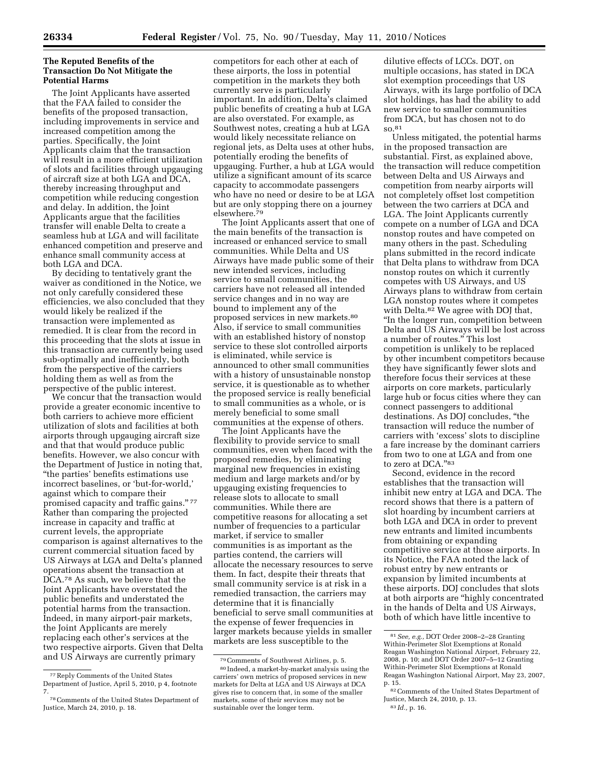## **The Reputed Benefits of the Transaction Do Not Mitigate the Potential Harms**

The Joint Applicants have asserted that the FAA failed to consider the benefits of the proposed transaction, including improvements in service and increased competition among the parties. Specifically, the Joint Applicants claim that the transaction will result in a more efficient utilization of slots and facilities through upgauging of aircraft size at both LGA and DCA, thereby increasing throughput and competition while reducing congestion and delay. In addition, the Joint Applicants argue that the facilities transfer will enable Delta to create a seamless hub at LGA and will facilitate enhanced competition and preserve and enhance small community access at both LGA and DCA.

By deciding to tentatively grant the waiver as conditioned in the Notice, we not only carefully considered these efficiencies, we also concluded that they would likely be realized if the transaction were implemented as remedied. It is clear from the record in this proceeding that the slots at issue in this transaction are currently being used sub-optimally and inefficiently, both from the perspective of the carriers holding them as well as from the perspective of the public interest.

We concur that the transaction would provide a greater economic incentive to both carriers to achieve more efficient utilization of slots and facilities at both airports through upgauging aircraft size and that that would produce public benefits. However, we also concur with the Department of Justice in noting that, ''the parties' benefits estimations use incorrect baselines, or 'but-for-world,' against which to compare their promised capacity and traffic gains."77 Rather than comparing the projected increase in capacity and traffic at current levels, the appropriate comparison is against alternatives to the current commercial situation faced by US Airways at LGA and Delta's planned operations absent the transaction at DCA.78 As such, we believe that the Joint Applicants have overstated the public benefits and understated the potential harms from the transaction. Indeed, in many airport-pair markets, the Joint Applicants are merely replacing each other's services at the two respective airports. Given that Delta and US Airways are currently primary

competitors for each other at each of these airports, the loss in potential competition in the markets they both currently serve is particularly important. In addition, Delta's claimed public benefits of creating a hub at LGA are also overstated. For example, as Southwest notes, creating a hub at LGA would likely necessitate reliance on regional jets, as Delta uses at other hubs, potentially eroding the benefits of upgauging. Further, a hub at LGA would utilize a significant amount of its scarce capacity to accommodate passengers who have no need or desire to be at LGA but are only stopping there on a journey elsewhere.79

The Joint Applicants assert that one of the main benefits of the transaction is increased or enhanced service to small communities. While Delta and US Airways have made public some of their new intended services, including service to small communities, the carriers have not released all intended service changes and in no way are bound to implement any of the proposed services in new markets.80 Also, if service to small communities with an established history of nonstop service to these slot controlled airports is eliminated, while service is announced to other small communities with a history of unsustainable nonstop service, it is questionable as to whether the proposed service is really beneficial to small communities as a whole, or is merely beneficial to some small communities at the expense of others.

The Joint Applicants have the flexibility to provide service to small communities, even when faced with the proposed remedies, by eliminating marginal new frequencies in existing medium and large markets and/or by upgauging existing frequencies to release slots to allocate to small communities. While there are competitive reasons for allocating a set number of frequencies to a particular market, if service to smaller communities is as important as the parties contend, the carriers will allocate the necessary resources to serve them. In fact, despite their threats that small community service is at risk in a remedied transaction, the carriers may determine that it is financially beneficial to serve small communities at the expense of fewer frequencies in larger markets because yields in smaller markets are less susceptible to the

dilutive effects of LCCs. DOT, on multiple occasions, has stated in DCA slot exemption proceedings that US Airways, with its large portfolio of DCA slot holdings, has had the ability to add new service to smaller communities from DCA, but has chosen not to do so.81

Unless mitigated, the potential harms in the proposed transaction are substantial. First, as explained above, the transaction will reduce competition between Delta and US Airways and competition from nearby airports will not completely offset lost competition between the two carriers at DCA and LGA. The Joint Applicants currently compete on a number of LGA and DCA nonstop routes and have competed on many others in the past. Scheduling plans submitted in the record indicate that Delta plans to withdraw from DCA nonstop routes on which it currently competes with US Airways, and US Airways plans to withdraw from certain LGA nonstop routes where it competes with Delta.<sup>82</sup> We agree with DOJ that, ''In the longer run, competition between Delta and US Airways will be lost across a number of routes.'' This lost competition is unlikely to be replaced by other incumbent competitors because they have significantly fewer slots and therefore focus their services at these airports on core markets, particularly large hub or focus cities where they can connect passengers to additional destinations. As DOJ concludes, ''the transaction will reduce the number of carriers with 'excess' slots to discipline a fare increase by the dominant carriers from two to one at LGA and from one to zero at DCA."83

Second, evidence in the record establishes that the transaction will inhibit new entry at LGA and DCA. The record shows that there is a pattern of slot hoarding by incumbent carriers at both LGA and DCA in order to prevent new entrants and limited incumbents from obtaining or expanding competitive service at those airports. In its Notice, the FAA noted the lack of robust entry by new entrants or expansion by limited incumbents at these airports. DOJ concludes that slots at both airports are ''highly concentrated in the hands of Delta and US Airways, both of which have little incentive to

<sup>77</sup>Reply Comments of the United States Department of Justice, April 5, 2010, p 4, footnote 7.

<sup>78</sup>Comments of the United States Department of Justice, March 24, 2010, p. 18.

<sup>79</sup>Comments of Southwest Airlines, p. 5.

<sup>80</sup> Indeed, a market-by-market analysis using the carriers' own metrics of proposed services in new markets for Delta at LGA and US Airways at DCA gives rise to concern that, in some of the smaller markets, some of their services may not be sustainable over the longer term.

<sup>81</sup>*See, e.g.,* DOT Order 2008–2–28 Granting Within-Perimeter Slot Exemptions at Ronald Reagan Washington National Airport, February 22, 2008, p. 10; and DOT Order 2007–5–12 Granting Within-Perimeter Slot Exemptions at Ronald Reagan Washington National Airport, May 23, 2007, p. 15.

<sup>82</sup>Comments of the United States Department of Justice, March 24, 2010, p. 13.

<sup>83</sup> *Id.,* p. 16.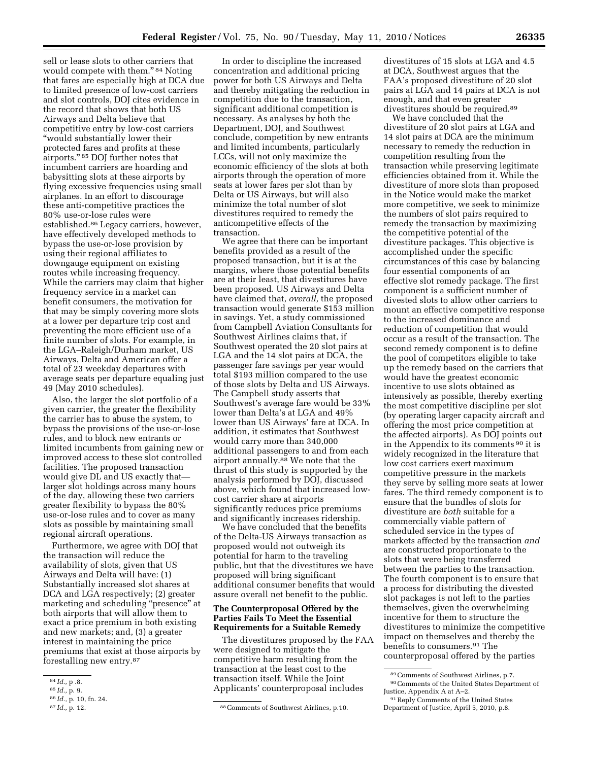sell or lease slots to other carriers that would compete with them."<sup>84</sup> Noting that fares are especially high at DCA due to limited presence of low-cost carriers and slot controls, DOJ cites evidence in the record that shows that both US Airways and Delta believe that competitive entry by low-cost carriers ''would substantially lower their protected fares and profits at these airports.'' 85 DOJ further notes that incumbent carriers are hoarding and babysitting slots at these airports by flying excessive frequencies using small airplanes. In an effort to discourage these anti-competitive practices the 80% use-or-lose rules were established.86 Legacy carriers, however, have effectively developed methods to bypass the use-or-lose provision by using their regional affiliates to downgauge equipment on existing routes while increasing frequency. While the carriers may claim that higher frequency service in a market can benefit consumers, the motivation for that may be simply covering more slots at a lower per departure trip cost and preventing the more efficient use of a finite number of slots. For example, in the LGA–Raleigh/Durham market, US Airways, Delta and American offer a total of 23 weekday departures with average seats per departure equaling just 49 (May 2010 schedules).

Also, the larger the slot portfolio of a given carrier, the greater the flexibility the carrier has to abuse the system, to bypass the provisions of the use-or-lose rules, and to block new entrants or limited incumbents from gaining new or improved access to these slot controlled facilities. The proposed transaction would give DL and US exactly that larger slot holdings across many hours of the day, allowing these two carriers greater flexibility to bypass the 80% use-or-lose rules and to cover as many slots as possible by maintaining small regional aircraft operations.

Furthermore, we agree with DOJ that the transaction will reduce the availability of slots, given that US Airways and Delta will have: (1) Substantially increased slot shares at DCA and LGA respectively; (2) greater marketing and scheduling ''presence'' at both airports that will allow them to exact a price premium in both existing and new markets; and, (3) a greater interest in maintaining the price premiums that exist at those airports by forestalling new entry.87

In order to discipline the increased concentration and additional pricing power for both US Airways and Delta and thereby mitigating the reduction in competition due to the transaction, significant additional competition is necessary. As analyses by both the Department, DOJ, and Southwest conclude, competition by new entrants and limited incumbents, particularly LCCs, will not only maximize the economic efficiency of the slots at both airports through the operation of more seats at lower fares per slot than by Delta or US Airways, but will also minimize the total number of slot divestitures required to remedy the anticompetitive effects of the transaction.

We agree that there can be important benefits provided as a result of the proposed transaction, but it is at the margins, where those potential benefits are at their least, that divestitures have been proposed. US Airways and Delta have claimed that, *overall,* the proposed transaction would generate \$153 million in savings. Yet, a study commissioned from Campbell Aviation Consultants for Southwest Airlines claims that, if Southwest operated the 20 slot pairs at LGA and the 14 slot pairs at DCA, the passenger fare savings per year would total \$193 million compared to the use of those slots by Delta and US Airways. The Campbell study asserts that Southwest's average fare would be 33% lower than Delta's at LGA and 49% lower than US Airways' fare at DCA. In addition, it estimates that Southwest would carry more than 340,000 additional passengers to and from each airport annually.88 We note that the thrust of this study is supported by the analysis performed by DOJ, discussed above, which found that increased lowcost carrier share at airports significantly reduces price premiums and significantly increases ridership.

We have concluded that the benefits of the Delta-US Airways transaction as proposed would not outweigh its potential for harm to the traveling public, but that the divestitures we have proposed will bring significant additional consumer benefits that would assure overall net benefit to the public.

## **The Counterproposal Offered by the Parties Fails To Meet the Essential Requirements for a Suitable Remedy**

The divestitures proposed by the FAA were designed to mitigate the competitive harm resulting from the transaction at the least cost to the transaction itself. While the Joint Applicants' counterproposal includes

divestitures of 15 slots at LGA and 4.5 at DCA, Southwest argues that the FAA's proposed divestiture of 20 slot pairs at LGA and 14 pairs at DCA is not enough, and that even greater divestitures should be required.89

We have concluded that the divestiture of 20 slot pairs at LGA and 14 slot pairs at DCA are the minimum necessary to remedy the reduction in competition resulting from the transaction while preserving legitimate efficiencies obtained from it. While the divestiture of more slots than proposed in the Notice would make the market more competitive, we seek to minimize the numbers of slot pairs required to remedy the transaction by maximizing the competitive potential of the divestiture packages. This objective is accomplished under the specific circumstances of this case by balancing four essential components of an effective slot remedy package. The first component is a sufficient number of divested slots to allow other carriers to mount an effective competitive response to the increased dominance and reduction of competition that would occur as a result of the transaction. The second remedy component is to define the pool of competitors eligible to take up the remedy based on the carriers that would have the greatest economic incentive to use slots obtained as intensively as possible, thereby exerting the most competitive discipline per slot (by operating larger capacity aircraft and offering the most price competition at the affected airports). As DOJ points out in the Appendix to its comments 90 it is widely recognized in the literature that low cost carriers exert maximum competitive pressure in the markets they serve by selling more seats at lower fares. The third remedy component is to ensure that the bundles of slots for divestiture are *both* suitable for a commercially viable pattern of scheduled service in the types of markets affected by the transaction *and*  are constructed proportionate to the slots that were being transferred between the parties to the transaction. The fourth component is to ensure that a process for distributing the divested slot packages is not left to the parties themselves, given the overwhelming incentive for them to structure the divestitures to minimize the competitive impact on themselves and thereby the benefits to consumers.91 The counterproposal offered by the parties

<sup>84</sup> *Id.,* p .8.

<sup>85</sup> *Id.,* p. 9.

<sup>86</sup> *Id.,* p. 10, fn. 24.

<sup>&</sup>lt;sup>87</sup> *Id.*, p. 12. <sup>87</sup> *B*. **88** *Comments of Southwest Airlines, p.10.* 

<sup>89</sup>Comments of Southwest Airlines, p.7. 90Comments of the United States Department of Justice, Appendix A at A–2.

<sup>91</sup>Reply Comments of the United States Department of Justice, April 5, 2010, p.8.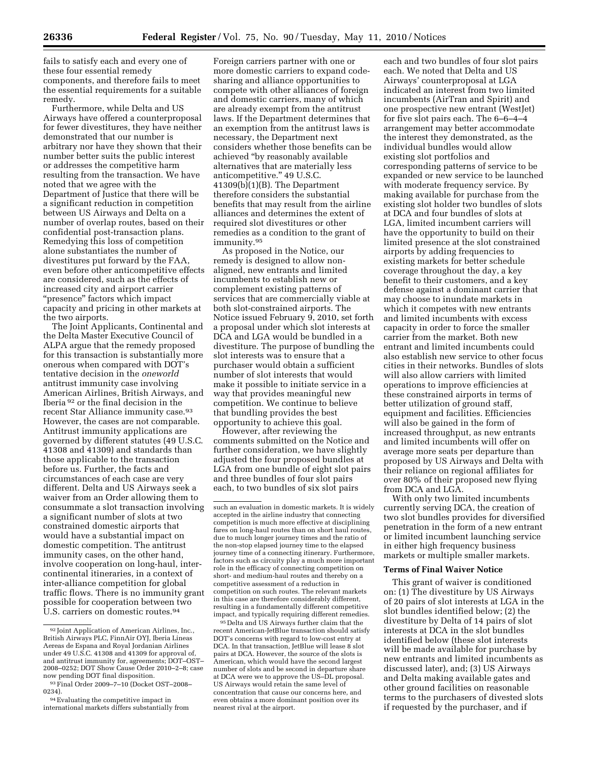fails to satisfy each and every one of these four essential remedy components, and therefore fails to meet the essential requirements for a suitable remedy.

Furthermore, while Delta and US Airways have offered a counterproposal for fewer divestitures, they have neither demonstrated that our number is arbitrary nor have they shown that their number better suits the public interest or addresses the competitive harm resulting from the transaction. We have noted that we agree with the Department of Justice that there will be a significant reduction in competition between US Airways and Delta on a number of overlap routes, based on their confidential post-transaction plans. Remedying this loss of competition alone substantiates the number of divestitures put forward by the FAA, even before other anticompetitive effects are considered, such as the effects of increased city and airport carrier ''presence'' factors which impact capacity and pricing in other markets at the two airports.

The Joint Applicants, Continental and the Delta Master Executive Council of ALPA argue that the remedy proposed for this transaction is substantially more onerous when compared with DOT's tentative decision in the *oneworld*  antitrust immunity case involving American Airlines, British Airways, and Iberia 92 or the final decision in the recent Star Alliance immunity case.93 However, the cases are not comparable. Antitrust immunity applications are governed by different statutes (49 U.S.C. 41308 and 41309) and standards than those applicable to the transaction before us. Further, the facts and circumstances of each case are very different. Delta and US Airways seek a waiver from an Order allowing them to consummate a slot transaction involving a significant number of slots at two constrained domestic airports that would have a substantial impact on domestic competition. The antitrust immunity cases, on the other hand, involve cooperation on long-haul, intercontinental itineraries, in a context of inter-alliance competition for global traffic flows. There is no immunity grant possible for cooperation between two U.S. carriers on domestic routes.<sup>94</sup>

Foreign carriers partner with one or more domestic carriers to expand codesharing and alliance opportunities to compete with other alliances of foreign and domestic carriers, many of which are already exempt from the antitrust laws. If the Department determines that an exemption from the antitrust laws is necessary, the Department next considers whether those benefits can be achieved ''by reasonably available alternatives that are materially less anticompetitive.'' 49 U.S.C.  $41309(b)(1)(B)$ . The Department therefore considers the substantial benefits that may result from the airline alliances and determines the extent of required slot divestitures or other remedies as a condition to the grant of immunity.95

As proposed in the Notice, our remedy is designed to allow nonaligned, new entrants and limited incumbents to establish new or complement existing patterns of services that are commercially viable at both slot-constrained airports. The Notice issued February 9, 2010, set forth a proposal under which slot interests at DCA and LGA would be bundled in a divestiture. The purpose of bundling the slot interests was to ensure that a purchaser would obtain a sufficient number of slot interests that would make it possible to initiate service in a way that provides meaningful new competition. We continue to believe that bundling provides the best opportunity to achieve this goal.

However, after reviewing the comments submitted on the Notice and further consideration, we have slightly adjusted the four proposed bundles at LGA from one bundle of eight slot pairs and three bundles of four slot pairs each, to two bundles of six slot pairs

95 Delta and US Airways further claim that the recent American-JetBlue transaction should satisfy DOT's concerns with regard to low-cost entry at DCA. In that transaction, JetBlue will lease 8 slot pairs at DCA. However, the source of the slots is American, which would have the second largest number of slots and be second in departure share at DCA were we to approve the US–DL proposal. US Airways would retain the same level of concentration that cause our concerns here, and even obtains a more dominant position over its nearest rival at the airport.

each and two bundles of four slot pairs each. We noted that Delta and US Airways' counterproposal at LGA indicated an interest from two limited incumbents (AirTran and Spirit) and one prospective new entrant (WestJet) for five slot pairs each. The 6–6–4–4 arrangement may better accommodate the interest they demonstrated, as the individual bundles would allow existing slot portfolios and corresponding patterns of service to be expanded or new service to be launched with moderate frequency service. By making available for purchase from the existing slot holder two bundles of slots at DCA and four bundles of slots at LGA, limited incumbent carriers will have the opportunity to build on their limited presence at the slot constrained airports by adding frequencies to existing markets for better schedule coverage throughout the day, a key benefit to their customers, and a key defense against a dominant carrier that may choose to inundate markets in which it competes with new entrants and limited incumbents with excess capacity in order to force the smaller carrier from the market. Both new entrant and limited incumbents could also establish new service to other focus cities in their networks. Bundles of slots will also allow carriers with limited operations to improve efficiencies at these constrained airports in terms of better utilization of ground staff, equipment and facilities. Efficiencies will also be gained in the form of increased throughput, as new entrants and limited incumbents will offer on average more seats per departure than proposed by US Airways and Delta with their reliance on regional affiliates for over 80% of their proposed new flying from DCA and LGA.

With only two limited incumbents currently serving DCA, the creation of two slot bundles provides for diversified penetration in the form of a new entrant or limited incumbent launching service in either high frequency business markets or multiple smaller markets.

#### **Terms of Final Waiver Notice**

This grant of waiver is conditioned on: (1) The divestiture by US Airways of 20 pairs of slot interests at LGA in the slot bundles identified below; (2) the divestiture by Delta of 14 pairs of slot interests at DCA in the slot bundles identified below (these slot interests will be made available for purchase by new entrants and limited incumbents as discussed later), and; (3) US Airways and Delta making available gates and other ground facilities on reasonable terms to the purchasers of divested slots if requested by the purchaser, and if

<sup>92</sup> Joint Application of American Airlines, Inc., British Airways PLC, FinnAir OYJ, Iberia Lineas Aereas de Espana and Royal Jordanian Airlines under 49 U.S.C. 41308 and 41309 for approval of, and antitrust immunity for, agreements; DOT–OST– 2008–0252; DOT Show Cause Order 2010–2–8; case

now pending DOT final disposition.<br><sup>93</sup>Final Order 2009–7–10 (Docket OST–2008–<br>0234).

<sup>&</sup>lt;sup>94</sup> Evaluating the competitive impact in international markets differs substantially from

such an evaluation in domestic markets. It is widely accepted in the airline industry that connecting competition is much more effective at disciplining fares on long-haul routes than on short haul routes, due to much longer journey times and the ratio of the non-stop elapsed journey time to the elapsed journey time of a connecting itinerary. Furthermore, factors such as circuity play a much more important role in the efficacy of connecting competition on short- and medium-haul routes and thereby on a competitive assessment of a reduction in competition on such routes. The relevant markets in this case are therefore considerably different, resulting in a fundamentally different competitive impact, and typically requiring different remedies.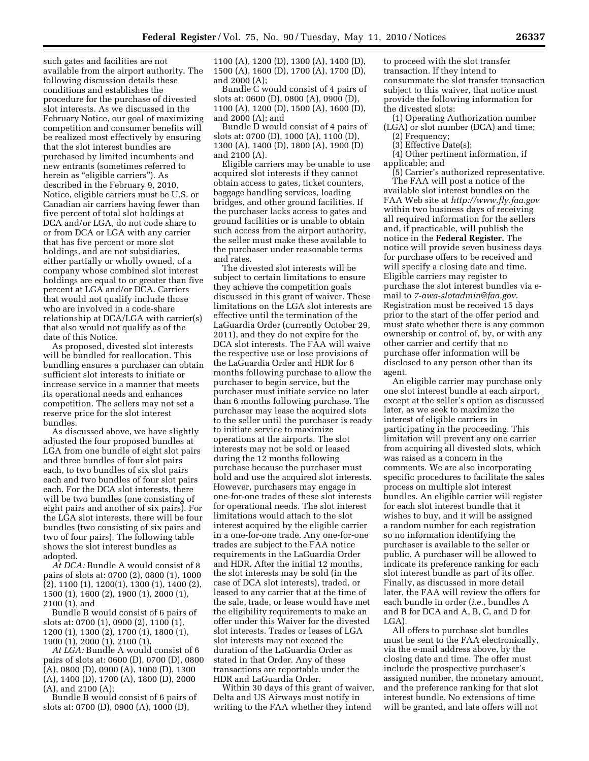such gates and facilities are not available from the airport authority. The following discussion details these conditions and establishes the procedure for the purchase of divested slot interests. As we discussed in the February Notice, our goal of maximizing competition and consumer benefits will be realized most effectively by ensuring that the slot interest bundles are purchased by limited incumbents and new entrants (sometimes referred to herein as "eligible carriers"). As described in the February 9, 2010, Notice, eligible carriers must be U.S. or Canadian air carriers having fewer than five percent of total slot holdings at DCA and/or LGA, do not code share to or from DCA or LGA with any carrier that has five percent or more slot holdings, and are not subsidiaries, either partially or wholly owned, of a company whose combined slot interest holdings are equal to or greater than five percent at LGA and/or DCA. Carriers that would not qualify include those who are involved in a code-share relationship at DCA/LGA with carrier(s) that also would not qualify as of the date of this Notice.

As proposed, divested slot interests will be bundled for reallocation. This bundling ensures a purchaser can obtain sufficient slot interests to initiate or increase service in a manner that meets its operational needs and enhances competition. The sellers may not set a reserve price for the slot interest bundles.

As discussed above, we have slightly adjusted the four proposed bundles at LGA from one bundle of eight slot pairs and three bundles of four slot pairs each, to two bundles of six slot pairs each and two bundles of four slot pairs each. For the DCA slot interests, there will be two bundles (one consisting of eight pairs and another of six pairs). For the LGA slot interests, there will be four bundles (two consisting of six pairs and two of four pairs). The following table shows the slot interest bundles as adopted.

*At DCA:* Bundle A would consist of 8 pairs of slots at: 0700 (2), 0800 (1), 1000 (2), 1100 (1), 1200(1), 1300 (1), 1400 (2), 1500 (1), 1600 (2), 1900 (1), 2000 (1), 2100 (1), and

Bundle B would consist of 6 pairs of slots at: 0700 (1), 0900 (2), 1100 (1), 1200 (1), 1300 (2), 1700 (1), 1800 (1), 1900 (1), 2000 (1), 2100 (1).

*At LGA:* Bundle A would consist of 6 pairs of slots at: 0600 (D), 0700 (D), 0800 (A), 0800 (D), 0900 (A), 1000 (D), 1300 (A), 1400 (D), 1700 (A), 1800 (D), 2000 (A), and 2100 (A);

Bundle B would consist of 6 pairs of slots at: 0700 (D), 0900 (A), 1000 (D),

1100 (A), 1200 (D), 1300 (A), 1400 (D), 1500 (A), 1600 (D), 1700 (A), 1700 (D), and 2000 (A);

Bundle C would consist of 4 pairs of slots at: 0600 (D), 0800 (A), 0900 (D), 1100 (A), 1200 (D), 1500 (A), 1600 (D), and 2000 (A); and

Bundle D would consist of 4 pairs of slots at: 0700 (D), 1000 (A), 1100 (D), 1300 (A), 1400 (D), 1800 (A), 1900 (D) and 2100 (A).

Eligible carriers may be unable to use acquired slot interests if they cannot obtain access to gates, ticket counters, baggage handling services, loading bridges, and other ground facilities. If the purchaser lacks access to gates and ground facilities or is unable to obtain such access from the airport authority, the seller must make these available to the purchaser under reasonable terms and rates.

The divested slot interests will be subject to certain limitations to ensure they achieve the competition goals discussed in this grant of waiver. These limitations on the LGA slot interests are effective until the termination of the LaGuardia Order (currently October 29, 2011), and they do not expire for the DCA slot interests. The FAA will waive the respective use or lose provisions of the LaGuardia Order and HDR for 6 months following purchase to allow the purchaser to begin service, but the purchaser must initiate service no later than 6 months following purchase. The purchaser may lease the acquired slots to the seller until the purchaser is ready to initiate service to maximize operations at the airports. The slot interests may not be sold or leased during the 12 months following purchase because the purchaser must hold and use the acquired slot interests. However, purchasers may engage in one-for-one trades of these slot interests for operational needs. The slot interest limitations would attach to the slot interest acquired by the eligible carrier in a one-for-one trade. Any one-for-one trades are subject to the FAA notice requirements in the LaGuardia Order and HDR. After the initial 12 months, the slot interests may be sold (in the case of DCA slot interests), traded, or leased to any carrier that at the time of the sale, trade, or lease would have met the eligibility requirements to make an offer under this Waiver for the divested slot interests. Trades or leases of LGA slot interests may not exceed the duration of the LaGuardia Order as stated in that Order. Any of these transactions are reportable under the HDR and LaGuardia Order.

Within 30 days of this grant of waiver, Delta and US Airways must notify in writing to the FAA whether they intend

to proceed with the slot transfer transaction. If they intend to consummate the slot transfer transaction subject to this waiver, that notice must provide the following information for the divested slots:

- (1) Operating Authorization number (LGA) or slot number (DCA) and time;
	- (2) Frequency;
	- (3) Effective Date(s);

(4) Other pertinent information, if applicable; and

(5) Carrier's authorized representative. The FAA will post a notice of the

available slot interest bundles on the FAA Web site at *http://www.fly.faa.gov*  within two business days of receiving all required information for the sellers and, if practicable, will publish the notice in the **Federal Register.** The notice will provide seven business days for purchase offers to be received and will specify a closing date and time. Eligible carriers may register to purchase the slot interest bundles via email to *7-awa-slotadmin@faa.gov*. Registration must be received 15 days prior to the start of the offer period and must state whether there is any common ownership or control of, by, or with any other carrier and certify that no purchase offer information will be disclosed to any person other than its agent.

An eligible carrier may purchase only one slot interest bundle at each airport, except at the seller's option as discussed later, as we seek to maximize the interest of eligible carriers in participating in the proceeding. This limitation will prevent any one carrier from acquiring all divested slots, which was raised as a concern in the comments. We are also incorporating specific procedures to facilitate the sales process on multiple slot interest bundles. An eligible carrier will register for each slot interest bundle that it wishes to buy, and it will be assigned a random number for each registration so no information identifying the purchaser is available to the seller or public. A purchaser will be allowed to indicate its preference ranking for each slot interest bundle as part of its offer. Finally, as discussed in more detail later, the FAA will review the offers for each bundle in order (*i.e.,* bundles A and B for DCA and A, B, C, and D for LGA).

All offers to purchase slot bundles must be sent to the FAA electronically, via the e-mail address above, by the closing date and time. The offer must include the prospective purchaser's assigned number, the monetary amount, and the preference ranking for that slot interest bundle. No extensions of time will be granted, and late offers will not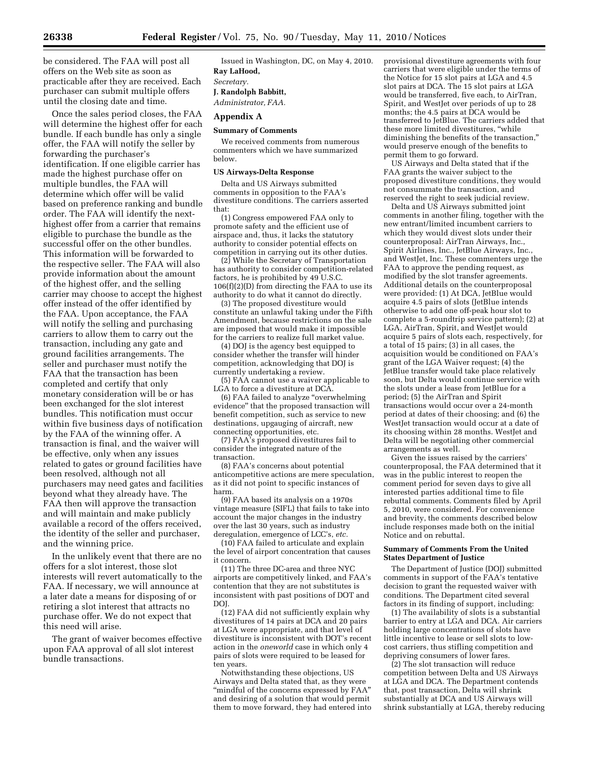be considered. The FAA will post all offers on the Web site as soon as practicable after they are received. Each purchaser can submit multiple offers until the closing date and time.

Once the sales period closes, the FAA will determine the highest offer for each bundle. If each bundle has only a single offer, the FAA will notify the seller by forwarding the purchaser's identification. If one eligible carrier has made the highest purchase offer on multiple bundles, the FAA will determine which offer will be valid based on preference ranking and bundle order. The FAA will identify the nexthighest offer from a carrier that remains eligible to purchase the bundle as the successful offer on the other bundles. This information will be forwarded to the respective seller. The FAA will also provide information about the amount of the highest offer, and the selling carrier may choose to accept the highest offer instead of the offer identified by the FAA. Upon acceptance, the FAA will notify the selling and purchasing carriers to allow them to carry out the transaction, including any gate and ground facilities arrangements. The seller and purchaser must notify the FAA that the transaction has been completed and certify that only monetary consideration will be or has been exchanged for the slot interest bundles. This notification must occur within five business days of notification by the FAA of the winning offer. A transaction is final, and the waiver will be effective, only when any issues related to gates or ground facilities have been resolved, although not all purchasers may need gates and facilities beyond what they already have. The FAA then will approve the transaction and will maintain and make publicly available a record of the offers received, the identity of the seller and purchaser, and the winning price.

In the unlikely event that there are no offers for a slot interest, those slot interests will revert automatically to the FAA. If necessary, we will announce at a later date a means for disposing of or retiring a slot interest that attracts no purchase offer. We do not expect that this need will arise.

The grant of waiver becomes effective upon FAA approval of all slot interest bundle transactions.

Issued in Washington, DC, on May 4, 2010. **Ray LaHood,**  *Secretary.*  **J. Randolph Babbitt,** 

*Administrator, FAA.* 

## **Appendix A**

## **Summary of Comments**

We received comments from numerous commenters which we have summarized below.

#### **US Airways-Delta Response**

Delta and US Airways submitted comments in opposition to the FAA's divestiture conditions. The carriers asserted that:

(1) Congress empowered FAA only to promote safety and the efficient use of airspace and, thus, it lacks the statutory authority to consider potential effects on competition in carrying out its other duties.

(2) While the Secretary of Transportation has authority to consider competition-related factors, he is prohibited by 49 U.S.C. 106(f)(2)(D) from directing the FAA to use its authority to do what it cannot do directly.

(3) The proposed divestiture would constitute an unlawful taking under the Fifth Amendment, because restrictions on the sale are imposed that would make it impossible for the carriers to realize full market value.

(4) DOJ is the agency best equipped to consider whether the transfer will hinder competition, acknowledging that DOJ is currently undertaking a review.

(5) FAA cannot use a waiver applicable to LGA to force a divestiture at DCA.

(6) FAA failed to analyze ''overwhelming evidence'' that the proposed transaction will benefit competition, such as service to new destinations, upgauging of aircraft, new connecting opportunities, etc.

(7) FAA's proposed divestitures fail to consider the integrated nature of the transaction.

(8) FAA's concerns about potential anticompetitive actions are mere speculation, as it did not point to specific instances of harm.

(9) FAA based its analysis on a 1970s vintage measure (SIFL) that fails to take into account the major changes in the industry over the last 30 years, such as industry deregulation, emergence of LCC's, *etc.* 

(10) FAA failed to articulate and explain the level of airport concentration that causes it concern.

(11) The three DC-area and three NYC airports are competitively linked, and FAA's contention that they are not substitutes is inconsistent with past positions of DOT and **DOI** 

(12) FAA did not sufficiently explain why divestitures of 14 pairs at DCA and 20 pairs at LGA were appropriate, and that level of divestiture is inconsistent with DOT's recent action in the *oneworld* case in which only 4 pairs of slots were required to be leased for ten years.

Notwithstanding these objections, US Airways and Delta stated that, as they were ''mindful of the concerns expressed by FAA'' and desiring of a solution that would permit them to move forward, they had entered into provisional divestiture agreements with four carriers that were eligible under the terms of the Notice for 15 slot pairs at LGA and 4.5 slot pairs at DCA. The 15 slot pairs at LGA would be transferred, five each, to AirTran, Spirit, and WestJet over periods of up to 28 months; the 4.5 pairs at DCA would be transferred to JetBlue. The carriers added that these more limited divestitures, ''while diminishing the benefits of the transaction,'' would preserve enough of the benefits to permit them to go forward.

US Airways and Delta stated that if the FAA grants the waiver subject to the proposed divestiture conditions, they would not consummate the transaction, and reserved the right to seek judicial review.

Delta and US Airways submitted joint comments in another filing, together with the new entrant/limited incumbent carriers to which they would divest slots under their counterproposal: AirTran Airways, Inc., Spirit Airlines, Inc., JetBlue Airways, Inc., and WestJet, Inc. These commenters urge the FAA to approve the pending request, as modified by the slot transfer agreements. Additional details on the counterproposal were provided: (1) At DCA, JetBlue would acquire 4.5 pairs of slots (JetBlue intends otherwise to add one off-peak hour slot to complete a 5-roundtrip service pattern); (2) at LGA, AirTran, Spirit, and WestJet would acquire 5 pairs of slots each, respectively, for a total of 15 pairs; (3) in all cases, the acquisition would be conditioned on FAA's grant of the LGA Waiver request; (4) the JetBlue transfer would take place relatively soon, but Delta would continue service with the slots under a lease from JetBlue for a period; (5) the AirTran and Spirit transactions would occur over a 24-month period at dates of their choosing; and (6) the WestJet transaction would occur at a date of its choosing within 28 months. WestJet and Delta will be negotiating other commercial arrangements as well.

Given the issues raised by the carriers' counterproposal, the FAA determined that it was in the public interest to reopen the comment period for seven days to give all interested parties additional time to file rebuttal comments. Comments filed by April 5, 2010, were considered. For convenience and brevity, the comments described below include responses made both on the initial Notice and on rebuttal.

#### **Summary of Comments From the United States Department of Justice**

The Department of Justice (DOJ) submitted comments in support of the FAA's tentative decision to grant the requested waiver with conditions. The Department cited several factors in its finding of support, including:

(1) The availability of slots is a substantial barrier to entry at LGA and DCA. Air carriers holding large concentrations of slots have little incentive to lease or sell slots to lowcost carriers, thus stifling competition and depriving consumers of lower fares.

(2) The slot transaction will reduce competition between Delta and US Airways at LGA and DCA. The Department contends that, post transaction, Delta will shrink substantially at DCA and US Airways will shrink substantially at LGA, thereby reducing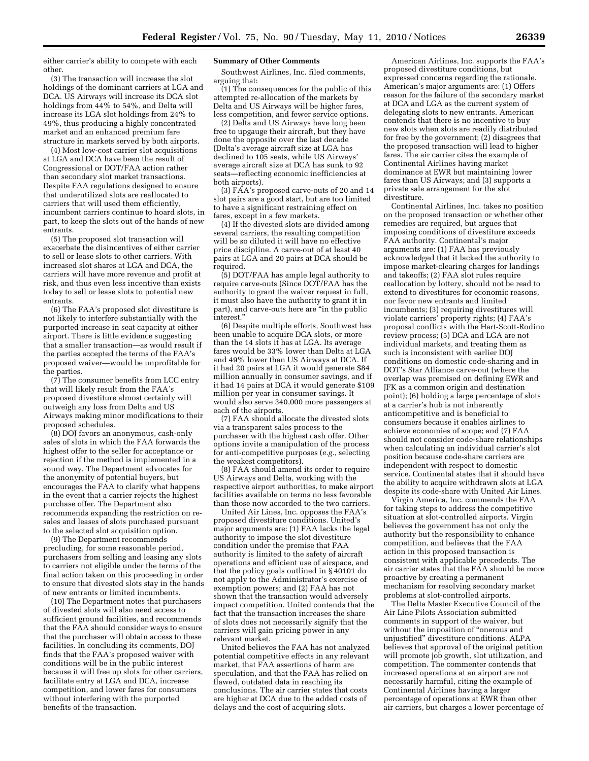either carrier's ability to compete with each other.

(3) The transaction will increase the slot holdings of the dominant carriers at LGA and DCA. US Airways will increase its DCA slot holdings from 44% to 54%, and Delta will increase its LGA slot holdings from 24% to 49%, thus producing a highly concentrated market and an enhanced premium fare structure in markets served by both airports.

(4) Most low-cost carrier slot acquisitions at LGA and DCA have been the result of Congressional or DOT/FAA action rather than secondary slot market transactions. Despite FAA regulations designed to ensure that underutilized slots are reallocated to carriers that will used them efficiently, incumbent carriers continue to hoard slots, in part, to keep the slots out of the hands of new entrants.

(5) The proposed slot transaction will exacerbate the disincentives of either carrier to sell or lease slots to other carriers. With increased slot shares at LGA and DCA, the carriers will have more revenue and profit at risk, and thus even less incentive than exists today to sell or lease slots to potential new entrants.

(6) The FAA's proposed slot divestiture is not likely to interfere substantially with the purported increase in seat capacity at either airport. There is little evidence suggesting that a smaller transaction—as would result if the parties accepted the terms of the FAA's proposed waiver—would be unprofitable for the parties.

(7) The consumer benefits from LCC entry that will likely result from the FAA's proposed divestiture almost certainly will outweigh any loss from Delta and US Airways making minor modifications to their proposed schedules.

(8) DOJ favors an anonymous, cash-only sales of slots in which the FAA forwards the highest offer to the seller for acceptance or rejection if the method is implemented in a sound way. The Department advocates for the anonymity of potential buyers, but encourages the FAA to clarify what happens in the event that a carrier rejects the highest purchase offer. The Department also recommends expanding the restriction on resales and leases of slots purchased pursuant to the selected slot acquisition option.

(9) The Department recommends precluding, for some reasonable period, purchasers from selling and leasing any slots to carriers not eligible under the terms of the final action taken on this proceeding in order to ensure that divested slots stay in the hands of new entrants or limited incumbents.

(10) The Department notes that purchasers of divested slots will also need access to sufficient ground facilities, and recommends that the FAA should consider ways to ensure that the purchaser will obtain access to these facilities. In concluding its comments, DOJ finds that the FAA's proposed waiver with conditions will be in the public interest because it will free up slots for other carriers, facilitate entry at LGA and DCA, increase competition, and lower fares for consumers without interfering with the purported benefits of the transaction.

#### **Summary of Other Comments**

Southwest Airlines, Inc. filed comments, arguing that:

(1) The consequences for the public of this attempted re-allocation of the markets by Delta and US Airways will be higher fares, less competition, and fewer service options.

(2) Delta and US Airways have long been free to upgauge their aircraft, but they have done the opposite over the last decade (Delta's average aircraft size at LGA has declined to 105 seats, while US Airways' average aircraft size at DCA has sunk to 92 seats—reflecting economic inefficiencies at both airports).

(3) FAA's proposed carve-outs of 20 and 14 slot pairs are a good start, but are too limited to have a significant restraining effect on fares, except in a few markets.

(4) If the divested slots are divided among several carriers, the resulting competition will be so diluted it will have no effective price discipline. A carve-out of at least 40 pairs at LGA and 20 pairs at DCA should be required.

(5) DOT/FAA has ample legal authority to require carve-outs (Since DOT/FAA has the authority to grant the waiver request in full, it must also have the authority to grant it in part), and carve-outs here are ''in the public interest.''

(6) Despite multiple efforts, Southwest has been unable to acquire DCA slots, or more than the 14 slots it has at LGA. Its average fares would be 33% lower than Delta at LGA and 49% lower than US Airways at DCA. If it had 20 pairs at LGA it would generate \$84 million annually in consumer savings, and if it had 14 pairs at DCA it would generate \$109 million per year in consumer savings. It would also serve 340,000 more passengers at each of the airports.

(7) FAA should allocate the divested slots via a transparent sales process to the purchaser with the highest cash offer. Other options invite a manipulation of the process for anti-competitive purposes (*e.g.,* selecting the weakest competitors).

(8) FAA should amend its order to require US Airways and Delta, working with the respective airport authorities, to make airport facilities available on terms no less favorable than those now accorded to the two carriers.

United Air Lines, Inc. opposes the FAA's proposed divestiture conditions. United's major arguments are: (1) FAA lacks the legal authority to impose the slot divestiture condition under the premise that FAA authority is limited to the safety of aircraft operations and efficient use of airspace, and that the policy goals outlined in  $\S$ 40101 do not apply to the Administrator's exercise of exemption powers; and (2) FAA has not shown that the transaction would adversely impact competition. United contends that the fact that the transaction increases the share of slots does not necessarily signify that the carriers will gain pricing power in any relevant market.

United believes the FAA has not analyzed potential competitive effects in any relevant market, that FAA assertions of harm are speculation, and that the FAA has relied on flawed, outdated data in reaching its conclusions. The air carrier states that costs are higher at DCA due to the added costs of delays and the cost of acquiring slots.

American Airlines, Inc. supports the FAA's proposed divestiture conditions, but expressed concerns regarding the rationale. American's major arguments are: (1) Offers reason for the failure of the secondary market at DCA and LGA as the current system of delegating slots to new entrants. American contends that there is no incentive to buy new slots when slots are readily distributed for free by the government; (2) disagrees that the proposed transaction will lead to higher fares. The air carrier cites the example of Continental Airlines having market dominance at EWR but maintaining lower fares than US Airways; and (3) supports a private sale arrangement for the slot divestiture.

Continental Airlines, Inc. takes no position on the proposed transaction or whether other remedies are required, but argues that imposing conditions of divestiture exceeds FAA authority. Continental's major arguments are: (1) FAA has previously acknowledged that it lacked the authority to impose market-clearing charges for landings and takeoffs; (2) FAA slot rules require reallocation by lottery, should not be read to extend to divestitures for economic reasons, nor favor new entrants and limited incumbents; (3) requiring divestitures will violate carriers' property rights; (4) FAA's proposal conflicts with the Hart-Scott-Rodino review process; (5) DCA and LGA are not individual markets, and treating them as such is inconsistent with earlier DOJ conditions on domestic code-sharing and in DOT's Star Alliance carve-out (where the overlap was premised on defining EWR and JFK as a common origin and destination point); (6) holding a large percentage of slots at a carrier's hub is not inherently anticompetitive and is beneficial to consumers because it enables airlines to achieve economies of scope; and (7) FAA should not consider code-share relationships when calculating an individual carrier's slot position because code-share carriers are independent with respect to domestic service. Continental states that it should have the ability to acquire withdrawn slots at LGA despite its code-share with United Air Lines.

Virgin America, Inc. commends the FAA for taking steps to address the competitive situation at slot-controlled airports. Virgin believes the government has not only the authority but the responsibility to enhance competition, and believes that the FAA action in this proposed transaction is consistent with applicable precedents. The air carrier states that the FAA should be more proactive by creating a permanent mechanism for resolving secondary market problems at slot-controlled airports.

The Delta Master Executive Council of the Air Line Pilots Association submitted comments in support of the waiver, but without the imposition of "onerous and unjustified'' divestiture conditions. ALPA believes that approval of the original petition will promote job growth, slot utilization, and competition. The commenter contends that increased operations at an airport are not necessarily harmful, citing the example of Continental Airlines having a larger percentage of operations at EWR than other air carriers, but charges a lower percentage of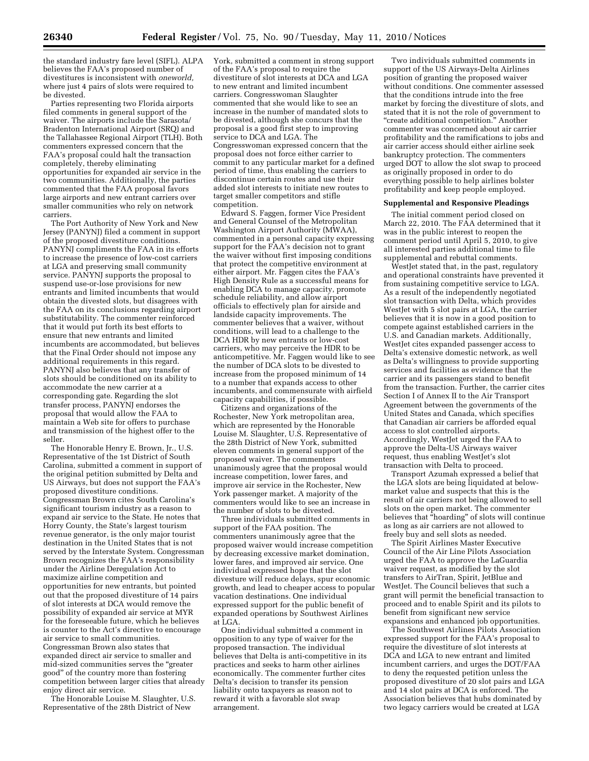the standard industry fare level (SIFL). ALPA believes the FAA's proposed number of divestitures is inconsistent with *oneworld,*  where just 4 pairs of slots were required to be divested.

Parties representing two Florida airports filed comments in general support of the waiver. The airports include the Sarasota/ Bradenton International Airport (SRQ) and the Tallahassee Regional Airport (TLH). Both commenters expressed concern that the FAA's proposal could halt the transaction completely, thereby eliminating opportunities for expanded air service in the two communities. Additionally, the parties commented that the FAA proposal favors large airports and new entrant carriers over smaller communities who rely on network carriers.

The Port Authority of New York and New Jersey (PANYNJ) filed a comment in support of the proposed divestiture conditions. PANYNJ compliments the FAA in its efforts to increase the presence of low-cost carriers at LGA and preserving small community service. PANYNJ supports the proposal to suspend use-or-lose provisions for new entrants and limited incumbents that would obtain the divested slots, but disagrees with the FAA on its conclusions regarding airport substitutability. The commenter reinforced that it would put forth its best efforts to ensure that new entrants and limited incumbents are accommodated, but believes that the Final Order should not impose any additional requirements in this regard. PANYNJ also believes that any transfer of slots should be conditioned on its ability to accommodate the new carrier at a corresponding gate. Regarding the slot transfer process, PANYNJ endorses the proposal that would allow the FAA to maintain a Web site for offers to purchase and transmission of the highest offer to the seller.

The Honorable Henry E. Brown, Jr., U.S. Representative of the 1st District of South Carolina, submitted a comment in support of the original petition submitted by Delta and US Airways, but does not support the FAA's proposed divestiture conditions. Congressman Brown cites South Carolina's significant tourism industry as a reason to expand air service to the State. He notes that Horry County, the State's largest tourism revenue generator, is the only major tourist destination in the United States that is not served by the Interstate System. Congressman Brown recognizes the FAA's responsibility under the Airline Deregulation Act to maximize airline competition and opportunities for new entrants, but pointed out that the proposed divestiture of 14 pairs of slot interests at DCA would remove the possibility of expanded air service at MYR for the foreseeable future, which he believes is counter to the Act's directive to encourage air service to small communities. Congressman Brown also states that expanded direct air service to smaller and mid-sized communities serves the ''greater good'' of the country more than fostering competition between larger cities that already enjoy direct air service.

The Honorable Louise M. Slaughter, U.S. Representative of the 28th District of New

York, submitted a comment in strong support of the FAA's proposal to require the divestiture of slot interests at DCA and LGA to new entrant and limited incumbent carriers. Congresswoman Slaughter commented that she would like to see an increase in the number of mandated slots to be divested, although she concurs that the proposal is a good first step to improving service to DCA and LGA. The Congresswoman expressed concern that the proposal does not force either carrier to commit to any particular market for a defined period of time, thus enabling the carriers to discontinue certain routes and use their added slot interests to initiate new routes to target smaller competitors and stifle competition.

Edward S. Faggen, former Vice President and General Counsel of the Metropolitan Washington Airport Authority (MWAA), commented in a personal capacity expressing support for the FAA's decision not to grant the waiver without first imposing conditions that protect the competitive environment at either airport. Mr. Faggen cites the FAA's High Density Rule as a successful means for enabling DCA to manage capacity, promote schedule reliability, and allow airport officials to effectively plan for airside and landside capacity improvements. The commenter believes that a waiver, without conditions, will lead to a challenge to the DCA HDR by new entrants or low-cost carriers, who may perceive the HDR to be anticompetitive. Mr. Faggen would like to see the number of DCA slots to be divested to increase from the proposed minimum of 14 to a number that expands access to other incumbents, and commensurate with airfield capacity capabilities, if possible.

Citizens and organizations of the Rochester, New York metropolitan area, which are represented by the Honorable Louise M. Slaughter, U.S. Representative of the 28th District of New York, submitted eleven comments in general support of the proposed waiver. The commenters unanimously agree that the proposal would increase competition, lower fares, and improve air service in the Rochester, New York passenger market. A majority of the commenters would like to see an increase in the number of slots to be divested.

Three individuals submitted comments in support of the FAA position. The commenters unanimously agree that the proposed waiver would increase competition by decreasing excessive market domination, lower fares, and improved air service. One individual expressed hope that the slot divesture will reduce delays, spur economic growth, and lead to cheaper access to popular vacation destinations. One individual expressed support for the public benefit of expanded operations by Southwest Airlines at LGA.

One individual submitted a comment in opposition to any type of waiver for the proposed transaction. The individual believes that Delta is anti-competitive in its practices and seeks to harm other airlines economically. The commenter further cites Delta's decision to transfer its pension liability onto taxpayers as reason not to reward it with a favorable slot swap arrangement.

Two individuals submitted comments in support of the US Airways-Delta Airlines position of granting the proposed waiver without conditions. One commenter assessed that the conditions intrude into the free market by forcing the divestiture of slots, and stated that it is not the role of government to "create additional competition." Another commenter was concerned about air carrier profitability and the ramifications to jobs and air carrier access should either airline seek bankruptcy protection. The commenters urged DOT to allow the slot swap to proceed as originally proposed in order to do everything possible to help airlines bolster profitability and keep people employed.

#### **Supplemental and Responsive Pleadings**

The initial comment period closed on March 22, 2010. The FAA determined that it was in the public interest to reopen the comment period until April 5, 2010, to give all interested parties additional time to file supplemental and rebuttal comments.

WestJet stated that, in the past, regulatory and operational constraints have prevented it from sustaining competitive service to LGA. As a result of the independently negotiated slot transaction with Delta, which provides WestJet with 5 slot pairs at LGA, the carrier believes that it is now in a good position to compete against established carriers in the U.S. and Canadian markets. Additionally, WestJet cites expanded passenger access to Delta's extensive domestic network, as well as Delta's willingness to provide supporting services and facilities as evidence that the carrier and its passengers stand to benefit from the transaction. Further, the carrier cites Section I of Annex II to the Air Transport Agreement between the governments of the United States and Canada, which specifies that Canadian air carriers be afforded equal access to slot controlled airports. Accordingly, WestJet urged the FAA to approve the Delta-US Airways waiver request, thus enabling WestJet's slot transaction with Delta to proceed.

Transport Azumah expressed a belief that the LGA slots are being liquidated at belowmarket value and suspects that this is the result of air carriers not being allowed to sell slots on the open market. The commenter believes that "hoarding" of slots will continue as long as air carriers are not allowed to freely buy and sell slots as needed.

The Spirit Airlines Master Executive Council of the Air Line Pilots Association urged the FAA to approve the LaGuardia waiver request, as modified by the slot transfers to AirTran, Spirit, JetBlue and WestJet. The Council believes that such a grant will permit the beneficial transaction to proceed and to enable Spirit and its pilots to benefit from significant new service expansions and enhanced job opportunities.

The Southwest Airlines Pilots Association expressed support for the FAA's proposal to require the divestiture of slot interests at DCA and LGA to new entrant and limited incumbent carriers, and urges the DOT/FAA to deny the requested petition unless the proposed divestiture of 20 slot pairs and LGA and 14 slot pairs at DCA is enforced. The Association believes that hubs dominated by two legacy carriers would be created at LGA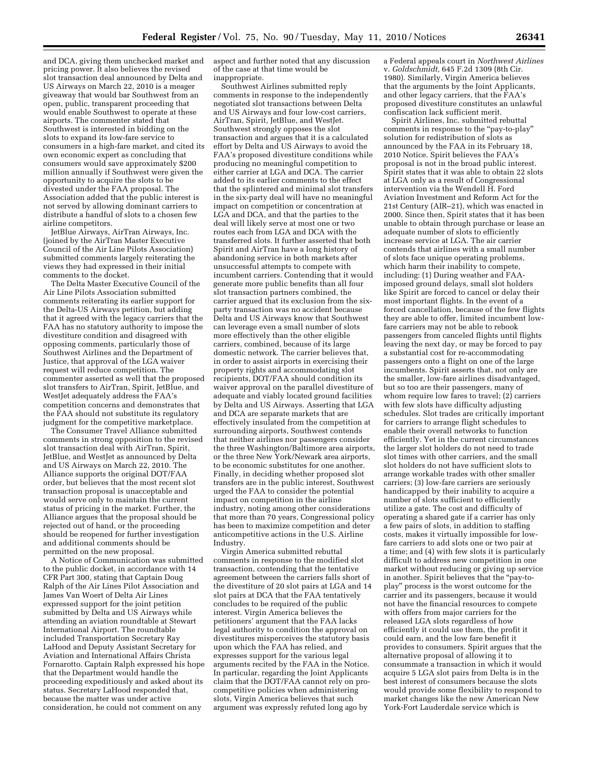and DCA, giving them unchecked market and pricing power. It also believes the revised slot transaction deal announced by Delta and US Airways on March 22, 2010 is a meager giveaway that would bar Southwest from an open, public, transparent proceeding that would enable Southwest to operate at these airports. The commenter stated that Southwest is interested in bidding on the slots to expand its low-fare service to consumers in a high-fare market, and cited its own economic expert as concluding that consumers would save approximately \$200 million annually if Southwest were given the opportunity to acquire the slots to be divested under the FAA proposal. The Association added that the public interest is not served by allowing dominant carriers to distribute a handful of slots to a chosen few airline competitors.

JetBlue Airways, AirTran Airways, Inc. (joined by the AirTran Master Executive Council of the Air Line Pilots Association) submitted comments largely reiterating the views they had expressed in their initial comments to the docket.

The Delta Master Executive Council of the Air Line Pilots Association submitted comments reiterating its earlier support for the Delta-US Airways petition, but adding that it agreed with the legacy carriers that the FAA has no statutory authority to impose the divestiture condition and disagreed with opposing comments, particularly those of Southwest Airlines and the Department of Justice, that approval of the LGA waiver request will reduce competition. The commenter asserted as well that the proposed slot transfers to AirTran, Spirit, JetBlue, and WestJet adequately address the FAA's competition concerns and demonstrates that the FAA should not substitute its regulatory judgment for the competitive marketplace.

The Consumer Travel Alliance submitted comments in strong opposition to the revised slot transaction deal with AirTran, Spirit, JetBlue, and WestJet as announced by Delta and US Airways on March 22, 2010. The Alliance supports the original DOT/FAA order, but believes that the most recent slot transaction proposal is unacceptable and would serve only to maintain the current status of pricing in the market. Further, the Alliance argues that the proposal should be rejected out of hand, or the proceeding should be reopened for further investigation and additional comments should be permitted on the new proposal.

A Notice of Communication was submitted to the public docket, in accordance with 14 CFR Part 300, stating that Captain Doug Ralph of the Air Lines Pilot Association and James Van Woert of Delta Air Lines expressed support for the joint petition submitted by Delta and US Airways while attending an aviation roundtable at Stewart International Airport. The roundtable included Transportation Secretary Ray LaHood and Deputy Assistant Secretary for Aviation and International Affairs Christa Fornarotto. Captain Ralph expressed his hope that the Department would handle the proceeding expeditiously and asked about its status. Secretary LaHood responded that, because the matter was under active consideration, he could not comment on any

aspect and further noted that any discussion of the case at that time would be inappropriate.

Southwest Airlines submitted reply comments in response to the independently negotiated slot transactions between Delta and US Airways and four low-cost carriers, AirTran, Spirit, JetBlue, and WestJet. Southwest strongly opposes the slot transaction and argues that it is a calculated effort by Delta and US Airways to avoid the FAA's proposed divestiture conditions while producing no meaningful competition to either carrier at LGA and DCA. The carrier added to its earlier comments to the effect that the splintered and minimal slot transfers in the six-party deal will have no meaningful impact on competition or concentration at LGA and DCA, and that the parties to the deal will likely serve at most one or two routes each from LGA and DCA with the transferred slots. It further asserted that both Spirit and AirTran have a long history of abandoning service in both markets after unsuccessful attempts to compete with incumbent carriers. Contending that it would generate more public benefits than all four slot transaction partners combined, the carrier argued that its exclusion from the sixparty transaction was no accident because Delta and US Airways know that Southwest can leverage even a small number of slots more effectively than the other eligible carriers, combined, because of its large domestic network. The carrier believes that, in order to assist airports in exercising their property rights and accommodating slot recipients, DOT/FAA should condition its waiver approval on the parallel divestiture of adequate and viably located ground facilities by Delta and US Airways. Asserting that LGA and DCA are separate markets that are effectively insulated from the competition at surrounding airports, Southwest contends that neither airlines nor passengers consider the three Washington/Baltimore area airports, or the three New York/Newark area airports, to be economic substitutes for one another. Finally, in deciding whether proposed slot transfers are in the public interest, Southwest urged the FAA to consider the potential impact on competition in the airline industry, noting among other considerations that more than 70 years, Congressional policy has been to maximize competition and deter anticompetitive actions in the U.S. Airline Industry.

Virgin America submitted rebuttal comments in response to the modified slot transaction, contending that the tentative agreement between the carriers falls short of the divestiture of 20 slot pairs at LGA and 14 slot pairs at DCA that the FAA tentatively concludes to be required of the public interest. Virgin America believes the petitioners' argument that the FAA lacks legal authority to condition the approval on divestitures misperceives the statutory basis upon which the FAA has relied, and expresses support for the various legal arguments recited by the FAA in the Notice. In particular, regarding the Joint Applicants claim that the DOT/FAA cannot rely on procompetitive policies when administering slots, Virgin America believes that such argument was expressly refuted long ago by

a Federal appeals court in *Northwest Airlines*  v. *Goldschmidt,* 645 F.2d 1309 (8th Cir. 1980). Similarly, Virgin America believes that the arguments by the Joint Applicants, and other legacy carriers, that the FAA's proposed divestiture constitutes an unlawful confiscation lack sufficient merit.

Spirit Airlines, Inc. submitted rebuttal comments in response to the ''pay-to-play'' solution for redistribution of slots as announced by the FAA in its February 18, 2010 Notice. Spirit believes the FAA's proposal is not in the broad public interest. Spirit states that it was able to obtain 22 slots at LGA only as a result of Congressional intervention via the Wendell H. Ford Aviation Investment and Reform Act for the 21st Century (AIR–21), which was enacted in 2000. Since then, Spirit states that it has been unable to obtain through purchase or lease an adequate number of slots to efficiently increase service at LGA. The air carrier contends that airlines with a small number of slots face unique operating problems, which harm their inability to compete, including: (1) During weather and FAAimposed ground delays, small slot holders like Spirit are forced to cancel or delay their most important flights. In the event of a forced cancellation, because of the few flights they are able to offer, limited incumbent lowfare carriers may not be able to rebook passengers from canceled flights until flights leaving the next day, or may be forced to pay a substantial cost for re-accommodating passengers onto a flight on one of the large incumbents. Spirit asserts that, not only are the smaller, low-fare airlines disadvantaged, but so too are their passengers, many of whom require low fares to travel; (2) carriers with few slots have difficulty adjusting schedules. Slot trades are critically important for carriers to arrange flight schedules to enable their overall networks to function efficiently. Yet in the current circumstances the larger slot holders do not need to trade slot times with other carriers, and the small slot holders do not have sufficient slots to arrange workable trades with other smaller carriers; (3) low-fare carriers are seriously handicapped by their inability to acquire a number of slots sufficient to efficiently utilize a gate. The cost and difficulty of operating a shared gate if a carrier has only a few pairs of slots, in addition to staffing costs, makes it virtually impossible for lowfare carriers to add slots one or two pair at a time; and (4) with few slots it is particularly difficult to address new competition in one market without reducing or giving up service in another. Spirit believes that the ''pay-toplay'' process is the worst outcome for the carrier and its passengers, because it would not have the financial resources to compete with offers from major carriers for the released LGA slots regardless of how efficiently it could use them, the profit it could earn, and the low fare benefit it provides to consumers. Spirit argues that the alternative proposal of allowing it to consummate a transaction in which it would acquire 5 LGA slot pairs from Delta is in the best interest of consumers because the slots would provide some flexibility to respond to market changes like the new American New York-Fort Lauderdale service which is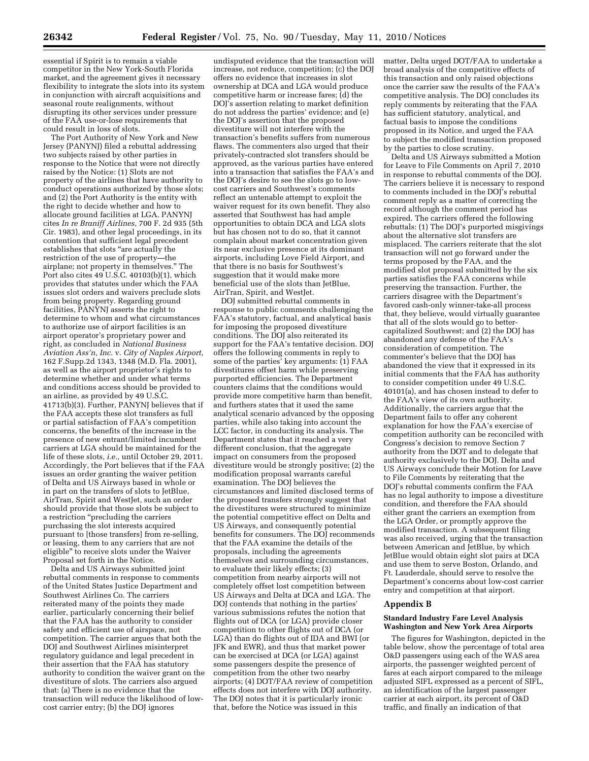essential if Spirit is to remain a viable competitor in the New York-South Florida market, and the agreement gives it necessary flexibility to integrate the slots into its system in conjunction with aircraft acquisitions and seasonal route realignments, without disrupting its other services under pressure of the FAA use-or-lose requirements that could result in loss of slots.

The Port Authority of New York and New Jersey (PANYNJ) filed a rebuttal addressing two subjects raised by other parties in response to the Notice that were not directly raised by the Notice: (1) Slots are not property of the airlines that have authority to conduct operations authorized by those slots; and (2) the Port Authority is the entity with the right to decide whether and how to allocate ground facilities at LGA. PANYNJ cites *In re Braniff Airlines,* 700 F. 2d 935 (5th Cir. 1983), and other legal proceedings, in its contention that sufficient legal precedent establishes that slots "are actually the restriction of the use of property—the airplane; not property in themselves.'' The Port also cites 49 U.S.C. 40103(b)(1), which provides that statutes under which the FAA issues slot orders and waivers preclude slots from being property. Regarding ground facilities, PANYNJ asserts the right to determine to whom and what circumstances to authorize use of airport facilities is an airport operator's proprietary power and right, as concluded in *National Business Aviation Ass'n, Inc.* v. *City of Naples Airport,*  162 F.Supp.2d 1343, 1348 (M.D. Fla. 2001), as well as the airport proprietor's rights to determine whether and under what terms and conditions access should be provided to an airline, as provided by 49 U.S.C. 41713(b)(3). Further, PANYNJ believes that if the FAA accepts these slot transfers as full or partial satisfaction of FAA's competition concerns, the benefits of the increase in the presence of new entrant/limited incumbent carriers at LGA should be maintained for the life of these slots, *i.e.,* until October 29, 2011. Accordingly, the Port believes that if the FAA issues an order granting the waiver petition of Delta and US Airways based in whole or in part on the transfers of slots to JetBlue, AirTran, Spirit and WestJet, such an order should provide that those slots be subject to a restriction ''precluding the carriers purchasing the slot interests acquired pursuant to [those transfers] from re-selling, or leasing, them to any carriers that are not eligible'' to receive slots under the Waiver Proposal set forth in the Notice.

Delta and US Airways submitted joint rebuttal comments in response to comments of the United States Justice Department and Southwest Airlines Co. The carriers reiterated many of the points they made earlier, particularly concerning their belief that the FAA has the authority to consider safety and efficient use of airspace, not competition. The carrier argues that both the DOJ and Southwest Airlines misinterpret regulatory guidance and legal precedent in their assertion that the FAA has statutory authority to condition the waiver grant on the divestiture of slots. The carriers also argued that: (a) There is no evidence that the transaction will reduce the likelihood of lowcost carrier entry; (b) the DOJ ignores

undisputed evidence that the transaction will increase, not reduce, competition; (c) the DOJ offers no evidence that increases in slot ownership at DCA and LGA would produce competitive harm or increase fares; (d) the DOJ's assertion relating to market definition do not address the parties' evidence; and (e) the DOJ's assertion that the proposed divestiture will not interfere with the transaction's benefits suffers from numerous flaws. The commenters also urged that their privately-contracted slot transfers should be approved, as the various parties have entered into a transaction that satisfies the FAA's and the DOJ's desire to see the slots go to lowcost carriers and Southwest's comments reflect an untenable attempt to exploit the waiver request for its own benefit. They also asserted that Southwest has had ample opportunities to obtain DCA and LGA slots but has chosen not to do so, that it cannot complain about market concentration given its near exclusive presence at its dominant airports, including Love Field Airport, and that there is no basis for Southwest's suggestion that it would make more beneficial use of the slots than JetBlue, AirTran, Spirit, and WestJet.

DOJ submitted rebuttal comments in response to public comments challenging the FAA's statutory, factual, and analytical basis for imposing the proposed divestiture conditions. The DOJ also reiterated its support for the FAA's tentative decision. DOJ offers the following comments in reply to some of the parties' key arguments: (1) FAA divestitures offset harm while preserving purported efficiencies. The Department counters claims that the conditions would provide more competitive harm than benefit, and furthers states that it used the same analytical scenario advanced by the opposing parties, while also taking into account the LCC factor, in conducting its analysis. The Department states that it reached a very different conclusion, that the aggregate impact on consumers from the proposed divestiture would be strongly positive; (2) the modification proposal warrants careful examination. The DOJ believes the circumstances and limited disclosed terms of the proposed transfers strongly suggest that the divestitures were structured to minimize the potential competitive effect on Delta and US Airways, and consequently potential benefits for consumers. The DOJ recommends that the FAA examine the details of the proposals, including the agreements themselves and surrounding circumstances, to evaluate their likely effects; (3) competition from nearby airports will not completely offset lost competition between US Airways and Delta at DCA and LGA. The DOJ contends that nothing in the parties' various submissions refutes the notion that flights out of DCA (or LGA) provide closer competition to other flights out of DCA (or LGA) than do flights out of IDA and BWI (or JFK and EWR), and thus that market power can be exercised at DCA (or LGA) against some passengers despite the presence of competition from the other two nearby airports; (4) DOT/FAA review of competition effects does not interfere with DOJ authority. The DOJ notes that it is particularly ironic that, before the Notice was issued in this

matter, Delta urged DOT/FAA to undertake a broad analysis of the competitive effects of this transaction and only raised objections once the carrier saw the results of the FAA's competitive analysis. The DOJ concludes its reply comments by reiterating that the FAA has sufficient statutory, analytical, and factual basis to impose the conditions proposed in its Notice, and urged the FAA to subject the modified transaction proposed by the parties to close scrutiny.

Delta and US Airways submitted a Motion for Leave to File Comments on April 7, 2010 in response to rebuttal comments of the DOJ. The carriers believe it is necessary to respond to comments included in the DOJ's rebuttal comment reply as a matter of correcting the record although the comment period has expired. The carriers offered the following rebuttals: (1) The DOJ's purported misgivings about the alternative slot transfers are misplaced. The carriers reiterate that the slot transaction will not go forward under the terms proposed by the FAA, and the modified slot proposal submitted by the six parties satisfies the FAA concerns while preserving the transaction. Further, the carriers disagree with the Department's favored cash-only winner-take-all process that, they believe, would virtually guarantee that all of the slots would go to bettercapitalized Southwest; and (2) the DOJ has abandoned any defense of the FAA's consideration of competition. The commenter's believe that the DOJ has abandoned the view that it expressed in its initial comments that the FAA has authority to consider competition under 49 U.S.C. 40101(a), and has chosen instead to defer to the FAA's view of its own authority. Additionally, the carriers argue that the Department fails to offer any coherent explanation for how the FAA's exercise of competition authority can be reconciled with Congress's decision to remove Section 7 authority from the DOT and to delegate that authority exclusively to the DOJ. Delta and US Airways conclude their Motion for Leave to File Comments by reiterating that the DOJ's rebuttal comments confirm the FAA has no legal authority to impose a divestiture condition, and therefore the FAA should either grant the carriers an exemption from the LGA Order, or promptly approve the modified transaction. A subsequent filing was also received, urging that the transaction between American and JetBlue, by which JetBlue would obtain eight slot pairs at DCA and use them to serve Boston, Orlando, and Ft. Lauderdale, should serve to resolve the Department's concerns about low-cost carrier entry and competition at that airport.

#### **Appendix B**

### **Standard Industry Fare Level Analysis Washington and New York Area Airports**

The figures for Washington, depicted in the table below, show the percentage of total area O&D passengers using each of the WAS area airports, the passenger weighted percent of fares at each airport compared to the mileage adjusted SIFL expressed as a percent of SIFL, an identification of the largest passenger carrier at each airport, its percent of O&D traffic, and finally an indication of that